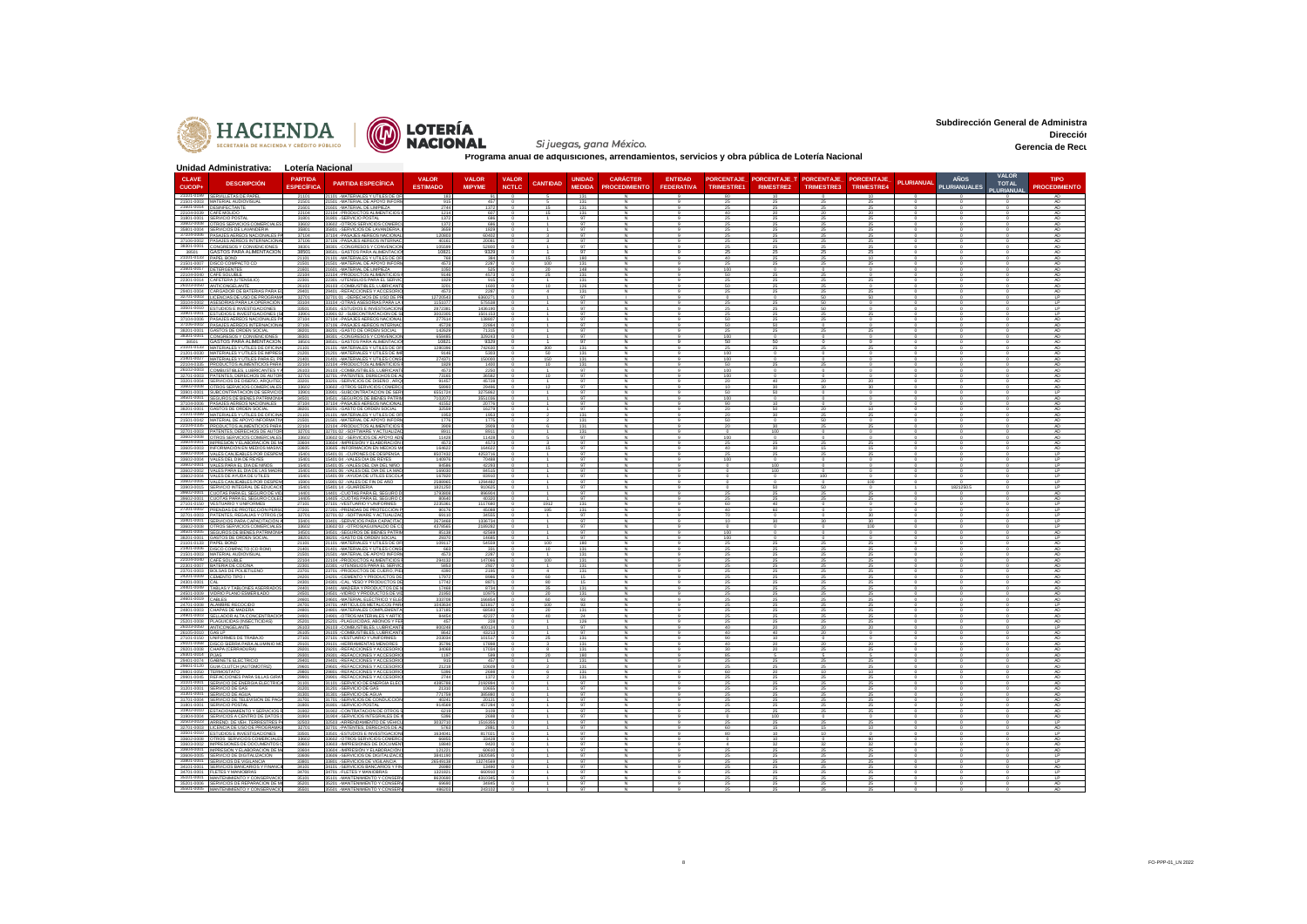



Si juegas, gana México.

**Subdirección General de Administra Dirección Administrativa Gerencia de Recu** 

|                                                      | Unidad Administrativa: Lotería Nacional                                               |                                     |                                                                          |                            |                               |              |                 |                                |                                         |                   |                   |                                                        |            |            |            |                     |                              |                            |
|------------------------------------------------------|---------------------------------------------------------------------------------------|-------------------------------------|--------------------------------------------------------------------------|----------------------------|-------------------------------|--------------|-----------------|--------------------------------|-----------------------------------------|-------------------|-------------------|--------------------------------------------------------|------------|------------|------------|---------------------|------------------------------|----------------------------|
| <b>CLAVE</b><br>CUCOP-                               | <b>DESCRIPCIÓN</b>                                                                    | <b>PARTIDA</b><br><b>ESPECÍFICA</b> | <b>PARTIDA ESPECÍFICA</b>                                                | <b>VALOR</b>               | <b>VALOR</b><br><b>MIPYME</b> | VALOR        | <b>CANTIDAD</b> | <b>UNIDAD</b><br><b>MEDIDA</b> | <b>CARÁCTER</b><br><b>PROCEDIMIENTO</b> | <b>ENTIDAD</b>    | <b>TRIMESTRE1</b> | PORCENTAJE PORCENTAJE T PORCENTAJE<br><b>RIMESTRE2</b> |            | PORCENTAJE | PLURIANUAL | <b>AÑOS</b>         | <b>VALOR</b><br><b>TOTAL</b> | <b>TIPO</b>                |
|                                                      | 21101-0199 SERVILLETAS DE PAPEL                                                       | 21101                               | 21101. MATERIALES Y UTILES DE OF                                         | <b>ESTIMADO</b><br>183     |                               | <b>NCTLC</b> |                 | 131                            |                                         | <b>FEDERATIVA</b> |                   |                                                        | TRIMESTRE3 | TRIMESTRE4 |            | <b>PLURIANUALES</b> | PLURIANUAL                   | <b>PROCEDIMIENTO</b><br>AD |
| 21601-0014 DESINFECTANTE                             | 21501-0003 MATERIAL AUDIOVISUAL                                                       | 21501<br>21601                      | 21501 .- MATERIAL DE APOYO INFOR<br>21601 .- MATERIAL DE LIMPIEZA        | 915<br>2744                | 457<br>1372                   | $^{\circ}$   |                 | 131<br>131                     |                                         |                   | 25<br>25          | 25                                                     | 25<br>25   | 25<br>25   |            |                     |                              | AD.<br>AD                  |
| 22104-0039 CAFÉ MOLIDO<br>31801-0001 SERVICIO POSTAL |                                                                                       | 22104<br>31801                      | 22104 .- PRODUCTOS ALIMENTICIOS<br>31801.-SERVICIO POSTAL                | $121 -$<br>1372            | 607<br>686                    |              |                 | 131<br>97                      |                                         |                   | 40                |                                                        |            |            |            |                     |                              | AD<br>AD.                  |
|                                                      | 33602-0008 OTROS SERVICIOS COMERCIALES                                                | 33602                               | 33602. OTROS SERVICIOS COMERO                                            | 137                        | 686                           |              |                 | Q                              |                                         |                   |                   |                                                        | 25         | 25         |            |                     |                              | AD.                        |
|                                                      | 35801-0004 SERVICIOS DE LAVANDERIA<br>37104-0006 PASAJES AEREOS NACIONALES PA         | 35801<br>37104                      | 35801.-SERVICIOS DE LAVANDERIA.<br>37104 .- PASAJES AEREOS NACIONAL      | 3659<br>12080              | 1829<br>60402                 |              |                 | 97<br>97                       |                                         |                   |                   |                                                        | 25         | 25<br>25   |            |                     |                              | AD.<br>AD.                 |
|                                                      | 37106-0002 PASAJES AÉREOS INTERNACIÓN<br>38301-0001 CONGRESOS Y CONVENCIONES          | 37106<br>38301                      | 37106 .- PASAJES AEREOS INTERNA<br>38301. CONGRESOS Y CONVENCIO          | 4016<br>105599             | 2008<br>52800                 |              |                 | 97<br>97                       |                                         |                   |                   |                                                        | 25         | 25         |            |                     |                              | AD<br>AD.                  |
| 38501<br>21101-0133 PAPEL BOND                       | GASTOS PARA ALIMENTACIÓN                                                              | 38501<br>21101                      | 38501. GASTOS PARA ALIMENTACI<br>21101 .- MATERIALES Y UTILES DE O       | 1082<br>768                | 9329<br>384                   | $^{\circ}$   |                 | 97<br>180                      |                                         |                   |                   |                                                        | 25<br>25   |            |            |                     |                              | AD.<br>AD                  |
| 21501-0007 DISCO COMPACT<br>21601-0017 DETERGENTES   |                                                                                       | 21501<br>21601                      | 21501 .- MATERIAL DE APOYO INFOR<br>21601 .- MATERIAL DE LIMPIEZA        | 4573<br>1050               | 2287<br>525                   |              | 100<br>20       | 131<br>148                     |                                         |                   | 100               |                                                        |            |            |            |                     |                              | AD<br>AD.                  |
| 22104-0040 CAFÉ SOLUBL                               |                                                                                       | 22104                               | 22104 .- PRODUCTOS ALIMENTICIOS                                          | 9146                       | 4573                          |              |                 | 131                            |                                         |                   |                   |                                                        |            |            |            |                     |                              |                            |
|                                                      | 22301-0014 CAFETERA (UTENSILIO<br>26103-0050 ANTICONGELANTE                           | 22301<br>26103                      | 22301 .- UTENSILIOS PARA EL SERVIÓ<br>26103. COMBUSTIBLES, LUBRICANT     | 1829<br>320                | 915<br>1600                   |              | 10              | 131<br>126                     |                                         |                   | 50                |                                                        | 25         |            |            |                     |                              | AD.<br>AD.                 |
|                                                      | 29401-0004 CARGADOR DE BATERIAS PARA<br>32701-0003 LICENCIAS DE USO DE PROGRAMA       | 29401<br>32701                      | 29401.REFACCIONES Y ACCESORI<br>32701 01 .- DERECHOS DE USO DE PI        | 457<br>12720543<br>1151077 | 228<br>6360271                |              |                 | 131<br>97                      |                                         |                   |                   |                                                        | 50         | 50         |            |                     |                              | LP                         |
| 33104-0002                                           | ASESORÍAS PARA LA OPERACIÓN<br>33501-0010 ESTUDIOS E INVESTIGACIONES                  | 33104<br>33501                      | 33104 .- OTRAS ASESORIAS PARA LI<br>33501. ESTUDIOS E INVESTIGACIO       | 287238                     | 575538<br>1436190             |              |                 | 97<br>97                       |                                         |                   |                   |                                                        |            |            |            |                     |                              | τP<br><b>LP</b>            |
|                                                      | 33901-0001 ESTUDIOS E INVESTIGACIONES (S)<br>37104-0006 PASAJES AÉREOS NACIONALES PA  | 33901<br>37104                      | 33901 02 - SUBCONTRATACION DE S<br>37104 .- PASAJES AEREOS NACIONAL      | 3002305<br>277614          | 1501153<br>138807             |              |                 | 97<br>97                       |                                         |                   |                   |                                                        | -25        |            |            |                     |                              | LP<br>AD.                  |
|                                                      | 37106-0002 PASAJES AÉREOS INTERNACIONA<br>38201-0001 GASTOS DE ORDEN SOCIAL           | 37106<br>38201                      | 37106 .- PASAJES AEREOS INTERNA<br>38201 .- GASTO DE ORDEN SOCIAL        | 4572<br>142629             | 22864<br>71315                |              |                 | 97<br>97                       |                                         |                   |                   |                                                        |            |            |            |                     |                              | AD.<br>AD.                 |
|                                                      | 38301-0001 CONGRESOS Y CONVENCIONES                                                   | 38301                               | 38301. CONGRESOS Y CONVENCIO                                             | 658485                     | 329243                        |              |                 | 97                             |                                         |                   | 100               |                                                        |            |            |            |                     |                              | AD.                        |
| 38501                                                | <b>GASTOS PARA ALIMENTACIÓN</b><br>21101-0133 MATERIALES Y ÚTILES DE OFICINA          | 38501<br>21101                      | 38501 - GASTOS PARA ALIMENTACI<br>21101 .- MATERIALES Y UTILES DE OF     | 1082<br>1280396            | 9329<br>742630                |              | 300             | 97<br>131                      |                                         |                   | 50                |                                                        |            |            |            |                     |                              | AD.<br>AD.                 |
|                                                      | 21201-0030 MATERIALES Y ÚTILES DE IMPRESI<br>MATERIALES Y ÚTILES PARA EL              | 21201<br>21401                      | 21201. - MATERIALES Y ÚTILES DE IM<br>1401 .- MATERIALES Y ÚTILES C      | 9146<br>27437              | 5303<br>5000                  |              | 50              | 131<br>131                     |                                         |                   | 100               |                                                        |            |            |            |                     |                              | AD.                        |
|                                                      | 22104-0335 PRODUCTOS ALIMENTICIOS PARA<br>26102-0003 COMBUSTIBLES, LUBRICANTES Y A    | 22104<br>26103                      | 22104 .- PRODUCTOS ALIMENTICIOS<br>26103. COMBUSTIBLES, LUBRICANT        | 1829<br>4573               | 1400<br>2250                  | $^{\circ}$   | 10              | 131<br>97                      |                                         |                   | 50<br>100         |                                                        |            |            |            |                     |                              | AD<br>AD.                  |
|                                                      | 32701-0003 PATENTES, DERECHOS DE AUTO<br>33201-0004 SERVICIOS DE DISEÑO AROUITEC      | 32701<br>33201                      | 32701 .- PATENTES, DERECHOS DE<br>33201 - SERVICIOS DE DISEÑO - ARC      | 73165<br>91457             | 36582<br>45728                |              |                 | 97<br>97                       |                                         |                   | 100<br>20         |                                                        | 20         | 20         |            |                     |                              | AD<br>AD                   |
|                                                      | 33602-0008 OTROS SERVICIOS COMERCIALES                                                | 33602                               | 33602. OTROS SERVICIOS COMERC                                            | 58993                      | 29496                         | $^{\circ}$   | 12              | 97                             |                                         |                   | 10                | 30                                                     |            | 30         |            |                     |                              | AD.                        |
|                                                      | 33901-0001 SUBCONTRATACIÓN DE SERVICIO<br>34501-0001 SEGUROS DE BIENES PATRIMON       | 3390<br>34501                       | 33901 .- SUBCONTRATACION DE SE<br>34501. - SEGUROS DE BIENES PATRI       | 655172<br>7102072          | 3551036                       |              |                 | Q7<br>97                       |                                         |                   | 100               |                                                        |            |            |            |                     |                              | 1P<br>AD.                  |
|                                                      | 37104-0006 PASAJES AÉREOS NACIONALES<br>38201-0001 GASTOS DE ORDEN SOCIA              | 37104<br>38201                      | 37104 .- PASAJES AEREOS NACIONAL<br>38201 .- GASTO DE ORDEN SOCIAL       | 41552<br>3255              | 20776<br>16279                |              |                 | 97<br>97                       |                                         |                   | 90                |                                                        |            |            |            |                     |                              | AD<br>AD                   |
|                                                      | 21101-0089 MATERIALES Y ÚTILES DE OFICINA<br>21501-0042 MATERIAL DE APOYO INFORMATIV  | 21101<br>21501                      | 21101. - MATERIALES Y UTILES DE OF<br>21501 .- MATERIAL DE APOYO INFOR   | 1953<br>1776               | 1953<br>1775                  |              |                 | 131<br>131                     |                                         |                   |                   |                                                        |            |            |            |                     |                              | AD.<br>AD                  |
|                                                      | 22104-0335 PRODUCTOS ALIMENTICIOS PARA<br>32701-0003 PATENTES, DERECHOS DE AUTOR      | 22104<br>32701                      | 22104 - PRODUCTOS ALIMENTICIOS<br>32701 02 - SOFTWARE Y ACTUALIZA        | 390<br>8911                | 3909<br>8911                  |              |                 | 131<br>131                     |                                         |                   |                   |                                                        |            |            |            |                     |                              | AD.<br>AD.                 |
|                                                      | 33602-0008 OTROS SERVICIOS COMERCIALES<br>33604-0001 IMPRESIÓN Y ELABORACIÓN DE M     | 33602<br>33604                      | 33602 02 - SERVICIOS DE APOYO AD<br>33604 - IMPRESIÓN Y ELABORACIÓN      | 11428<br>457               | 11428<br>4573                 |              |                 | 97<br>Q                        |                                         |                   | 100               |                                                        |            |            |            |                     |                              | AD<br>AD.                  |
|                                                      | 33605-0003 INFORMACIÓN EN MEDIOS MASIVO                                               | 33605                               | 33605 .- INFORMACIÓN EN MEDIOS M                                         | 164622                     | 164622                        |              |                 | 97                             |                                         |                   | 40                |                                                        |            | 15         |            |                     |                              | AD.                        |
|                                                      | 33602-0004 VALES CANJEABLES POR DESPE<br>33602-0004 VALES DEL DÍA DE REYES            | 15401<br>15401                      | 15401.01 - CUPONES DE DESPENSA<br>15401 04 .- VALES DIA DE REYES         | 8507433<br>140976          | 4253716<br>70488              |              |                 | 97<br>97                       |                                         |                   |                   |                                                        |            |            |            |                     |                              | ΤP<br>$\overline{P}$       |
|                                                      | 33602-0001 VALES PARA EL DÍA DE NIÑOS<br>33602-0002 VALES PARA EL DÍA DE LAS MADE     | 15401<br>15401                      | 15401 05 .- VALES DEL DIA DEL NINO<br>15401 06 .- VALES DEL DIA DE LA MA | 84586<br>16903             | 42293<br>8451                 |              |                 | 97<br>97                       |                                         |                   |                   | 100                                                    |            |            |            |                     |                              | LP                         |
| 33602-0005                                           | 33602-0004 VALES DE AYUDA DE ÚTILES<br>VALES CANJEABLES POR DESP                      | 15401<br>15901                      | 15401 09 .- AYUDA DE UTILES ESCOL<br>15901 02 . VALES DE FIN DE AÑO      | 167820<br>258896           | 83910<br>1294482              |              |                 | 97<br>97                       |                                         |                   |                   |                                                        | 100        | 100        |            |                     |                              | IP<br><b>LP</b>            |
|                                                      | 33903-0015 SERVICIO INTEGRAL DE EDUCACI<br>39602-0001 CUOTAS PARA EL SEGURO DE VID.   | 15401<br>14401                      | 15401 14 .- GUARDERIA<br>14401. - CUOTAS PARA EL SEGURO D                | 182125<br>1793808          | 91062<br>896904               |              |                 | 97<br>Q7                       |                                         |                   |                   |                                                        |            |            |            | 1821250.            |                              | LP.<br>AD.                 |
|                                                      | 39602-0001 CUOTAS PARA EL SEGURO COLEC<br>27101-0150 VESTUARIO Y UNIFORMES            | 14405                               | 14405 .- CUOTAS PARA EL SEGURO O                                         | 80540                      | 40320                         |              |                 | 97                             |                                         |                   | -25               |                                                        |            | 25         |            |                     |                              | AD.<br>LP                  |
|                                                      | 27201-0002 PRENDAS DE PROTECCIÓN PERSO                                                | 27101<br>27201                      | 27101. VESTUARIO Y UNIFORMES<br>27201. - PRENDAS DE PROTECCIÓN F         | 2235361<br>90176           | 1117680<br>45088              |              | 1912<br>195     | 131<br>131                     |                                         |                   | 40                | 60                                                     |            |            |            |                     |                              | $\mathsf{L}$               |
|                                                      | 32701-0003 PATENTES, REGALIAS Y OTROS (SI<br>33401-0001 SERVICIOS PARA CAPACITACIÓN A | 32701<br>33401                      | 32701 02 - SOFTWARE Y ACTUALIZAC<br>33401. - SERVICIOS PARA CAPACITA     | 69110<br>2673468           | 34555<br>1336734              |              |                 | 97<br>97                       |                                         |                   | 70<br>$10^{-1}$   |                                                        |            | 30         |            |                     |                              | LP.<br>LP.                 |
|                                                      | 33602-0008 OTROS SERVICIOS COMERCIALES<br>34501-0005 SEGUROS DE BIENES PATRIMONIA     | 33602<br>34501                      | 33602 03 .- OTROS/AGUINALDO DE 0<br>34501. - SEGUROS DE BIENES PATRI     | 437856<br>85138            | 2189282<br>42569              |              |                 | 97<br>97                       |                                         |                   | 100               |                                                        |            | 100        |            |                     |                              | $\mathsf{L}$<br>AD.        |
| 21101-0133 PAPEL BOND                                | 38201-0001 GASTOS DE ORDEN SOCIAL                                                     | 38201<br>21101                      | 38201 .- GASTO DE ORDEN SOCIAL<br>21101 .- MATERIALES Y UTILES DE OF     | 29370<br>109117            | 14685<br>54559                |              | 100             | 97<br>180                      |                                         |                   | 100               |                                                        | 25         | 25         |            |                     |                              | 1P<br>AD.                  |
|                                                      | 21401-0006 DISCO COMPACTO (CD ROM)<br>21501-0003 MATERIAL AUDIOVISUAL                 | 21401<br>21501                      | 21401 .- MATERIALES Y ÚTILES CONS<br>21501 .- MATERIAL DE APOYO INFOR    | 663<br>457                 | 331<br>2287                   |              |                 | 131<br>131                     |                                         |                   |                   |                                                        | 25         | 25         |            |                     |                              | AD<br>AD                   |
| 22104-0040 CAFÉ SOLUBLE                              |                                                                                       | 22104                               | 22104. - PRODUCTOS ALIMENTICIOS                                          | 294132                     | 147066                        |              | 100             | 131<br>131                     |                                         |                   |                   |                                                        | 25         | 25         |            |                     |                              | AD.<br>AD                  |
|                                                      | 22301-0007 BATERIA DE COCINA<br>23701-0003 BOLSAS DE POLIETILENO                      | 22301<br>23701                      | 22301 .- UTENSILIOS PARA EL SERVIO<br>23701 .- PRODUCTOS DE CUERO. PIE   | 585<br>4390                | 2927<br>2195                  |              |                 | 131                            |                                         |                   |                   |                                                        |            | 25         |            |                     |                              | AD                         |
| 24201-0009 CEMENTO TIPO I<br>24301-0001 CAI          |                                                                                       | 24201<br>24301                      | 24201. - CEMENTO Y PRODUCTOS DE<br>24301 .- CAL, YESO Y PRODUCTOS        | 17972<br>1774              | 8986<br>887                   |              | 60              | 15                             |                                         |                   |                   |                                                        |            | 25         |            |                     |                              | AD<br>AD                   |
| 24501-0009                                           | 24401-0049 TABLAS Y TABLONES ASERRADOS<br>VIDRIO PLANO ESMERILADO                     | 24401<br>24501                      | 24401 .- MADERA Y PRODUCTOS DE I<br>24501. VIDRIO Y PRODUCTOS DE VI      | 17468<br>21950             | 8734<br>10975                 |              | 35<br>20        | 131<br>131                     |                                         |                   |                   |                                                        | 25<br>25   | 25<br>25   |            |                     |                              | AD.<br>AD.                 |
| 24601-0019 CABLES                                    | 24701-0008 ALAMBRE RECOCIDO                                                           | 24601<br>24701                      | 24601 .- MATERIAL ELÉCTRICO Y ELI<br>24701 .- ARTÍCULOS METÁLICOS PAR    | 33370<br>1043634           | 6685<br>521817                |              | 100             | 93<br>93                       |                                         |                   |                   |                                                        |            | 25         |            |                     |                              | LP                         |
|                                                      | 24801-0003 CHAPAS DE MADERA<br>24901-0003 SELLADOR ALTA CONCENTRACION                 | 24801<br>24901                      | 24801 .- MATERIALES COMPLEMENT<br>24901 .- OTROS MATERIALES Y ARTÍO      | 137185<br>8445             | 68593<br>42227                |              | 20              | 131<br>24                      |                                         |                   |                   |                                                        |            | 25         |            |                     |                              | AD<br>AD.                  |
|                                                      | 25201-0008 PLAGUICIDAS (INSECTICIDAS)<br>26103-0050 ANTICONGELANTE                    | 25201                               | 25201. PLAGUICIDAS, ABONOS Y FE<br>26103. COMBUSTIBLES, LUBRICAN'        | 457<br>800248              | 228<br>400124                 |              |                 | 126<br>97                      |                                         |                   | 25                |                                                        | 25         | 25         |            |                     |                              | AD.<br>P                   |
| 26105-0010 GAS LP                                    |                                                                                       | 26103<br>26105                      | 6105. COMBUSTIBLES, LUBRICANT                                            | 864                        | 43213                         |              |                 | Q7                             |                                         |                   |                   |                                                        | -20        | 20         |            |                     |                              | AD                         |
|                                                      | 27101-0150 UNIFORMES DE TRABAJO<br>29101-0068 DISCO SIERRA PARA ALUMINIO M            | 27101<br>29101                      | 27101. VESTUARIO Y UNIFORMES<br>29101 .- HERRAMIENTAS MENORES            | 20303<br>35796             | 101517<br>17898               |              |                 | 131<br>131                     |                                         |                   | 90                |                                                        | 20         | 20         |            |                     |                              | AD<br>AD                   |
| 29301-0014 PIJAS                                     | 29201-0008 CHAPA (CERRADURA)                                                          | 29201<br>29301                      | 19201. REFACCIONES Y ACCESORI<br>29301.REFACCIONES Y ACCESORIO           | 34068<br>1197              | 17034<br>599                  |              | 20              | 131<br>180                     |                                         |                   | 85                |                                                        |            |            |            |                     |                              | AD<br>AD                   |
|                                                      | 29401-0074 GABINETE ELECTRICIO<br>29601-0120 GUIA CLUTCH (AUTOMOTRIZ)                 | 29401<br>29601                      | 29401 .- REFACCIONES Y ACCESORIO<br>29601 - REFACCIONES Y ACCESORIO      | 915<br>21218               | 457<br>10609                  |              |                 | 131<br>131                     |                                         |                   | 25                |                                                        | 25         | 25         |            |                     |                              | AD<br>AD.                  |
| 29801-0050 TERMOSTATO                                | 29901-0045 REFACCIONES PARA SILLAS GIRAT                                              | 29801<br>29901                      | 29801. - REFACCIONES Y ACCESORIO<br>29901 - REFACCIONES Y ACCESORIO      | 5396<br>2744               | 2698<br>1372                  |              |                 | 131<br>131                     |                                         |                   | 60<br>25          |                                                        | 10<br>25   | 10<br>25   |            |                     |                              | AD.<br>AD.                 |
| 31201-0001 SERVICIO DE GAS                           | 31101-0001 SERVICIO DE ENERGIA ELECTRICA                                              | 31101<br>31201                      | 31101 - SERVICIO DE ENERGÍA ELÉO<br>31201.-SERVICIO DE GAS               | 438578<br>21310            | 2192894<br>10655              |              |                 | 97<br>97                       |                                         |                   |                   |                                                        |            | 25         |            |                     |                              | AD.<br>AD.                 |
|                                                      | 31301-0001 SERVICIO DE AGUA                                                           | 31301                               | 31301. SERVICIO DE AGUA                                                  | 771759                     | 38588                         |              |                 | 97                             |                                         |                   | 25                |                                                        | 25         |            |            |                     |                              | AD.                        |
| 31801-0001 SERVICIO POSTAL                           | 31701-0004 SERVICIO DE TELEVISIÓN DE PAG                                              | 31701<br>31801                      | 31701. SERVICIOS DE CONDUCCIÓN<br>31801.-SERVICIO POSTAL                 | 40241<br>914569            | 20121<br>457284               |              |                 | 97<br>97                       |                                         |                   |                   |                                                        |            | 25<br>25   |            |                     |                              | AD.<br>AD.                 |
|                                                      | 31902-0010 ESTACIONAMIENTO Y SERVICIOS<br>31904-0004 SERVICIOS A CENTRO DE DATOS (    | 31902<br>31904                      | 31902 - CONTRATACION DE OTROS<br>31904. - SERVICIOS INTEGRALES DE        | 621<br>5396                | 310<br>2698                   |              |                 | 97<br>97                       |                                         |                   |                   |                                                        |            |            |            |                     |                              | AD.<br>AD.                 |
|                                                      | 32503-0023 ARREND, DE VEH, TERRESTRES I<br>32701-0003 LICENCIA DE USO DE PROGRAMAS    | 32503<br>32701                      | 32503 .- ARRENDA<br>32701 .- PATENTES, DERECHOS DE A                     | 303271<br>5763             | 1516355<br>288                |              |                 | 97<br>97                       |                                         |                   |                   |                                                        |            |            |            |                     |                              | ΤP<br>AD                   |
|                                                      | 33501-0010 ESTUDIOS E INVESTIGACIONES<br>33602-0008 OTROS SERVICIOS COMERCIALE        | 33501<br>33602                      | 33501 .- ESTUDIOS E INVESTIGACION<br>33602. OTROS SERVICIOS COMER        | 1634041<br>6685            | 817021<br>33428               |              |                 | 97<br>97                       |                                         |                   | 80                |                                                        | 10         |            |            |                     |                              | <b>LP</b>                  |
|                                                      | 33603-0002 IMPRESIONES DE DOCUMENTOS O<br>33604-0001 IMPRESIÓN Y ELABORACIÓN DE M     | 33603<br>33604                      | 33603 .- IMPRESIONES DE DOCUMEN<br>33604 .- IMPRESIÓN Y ELABORACIÓN      | 18840<br>12122             | 9420<br>60610                 |              |                 | 97<br>97                       |                                         |                   |                   |                                                        | 32         | 32<br>25   |            |                     |                              | AD<br>AD.                  |
|                                                      | 33606-0005 SERVICIO DE DIGITALIZACIÓN                                                 | 33606                               | 33606 - SERVICIOS DE DIGITALIZAC                                         | 3841190                    | 1920595                       |              |                 | 97                             |                                         |                   |                   |                                                        | 25         | 25         |            |                     |                              | $\mathsf{L}$               |
|                                                      | 33801-0001 SERVICIOS DE VIGILANCIA<br>34101-0001 SERVICIOS BANCARIOS Y FINANC         | 33801<br>34101                      | 33801 .- SERVICIOS DE VIGILANCIA<br>34101. - SERVICIOS BANCARIOS Y FI    | 26549138<br>26980          | 13274569<br>13490             |              |                 | 97<br>97                       |                                         |                   |                   |                                                        | 25         | 25         |            |                     |                              | LP<br>AD                   |
|                                                      | 34701-0001 FLETES Y MANIOBRAS<br>35101-0001 MANTENIMIENTO Y CONSERVACIO               | 34701<br>35101                      | 34701.-FLETES Y MANIOBRAS<br>35101 .- MANTENIMIENTO Y CONSER             | 1321821<br>8620690         | 66091<br>4310345              |              |                 | 97<br>97                       |                                         |                   |                   |                                                        | 25         | 25         |            |                     |                              | $L^p$<br>LP                |
|                                                      | 35201-0006 SERVICIOS DE REPARACIÓN DE M<br>35501-0005 MANTENIMIENTO Y CONSERVACIO     | 35201<br>35501                      | 35201. - MANTENIMIENTO Y CONSER'<br>35501 .- MANTENIMIENTO Y CONSER      | 69690<br>48620             | 34845<br>24310                |              |                 | 97                             |                                         |                   |                   |                                                        |            |            |            |                     |                              | AD                         |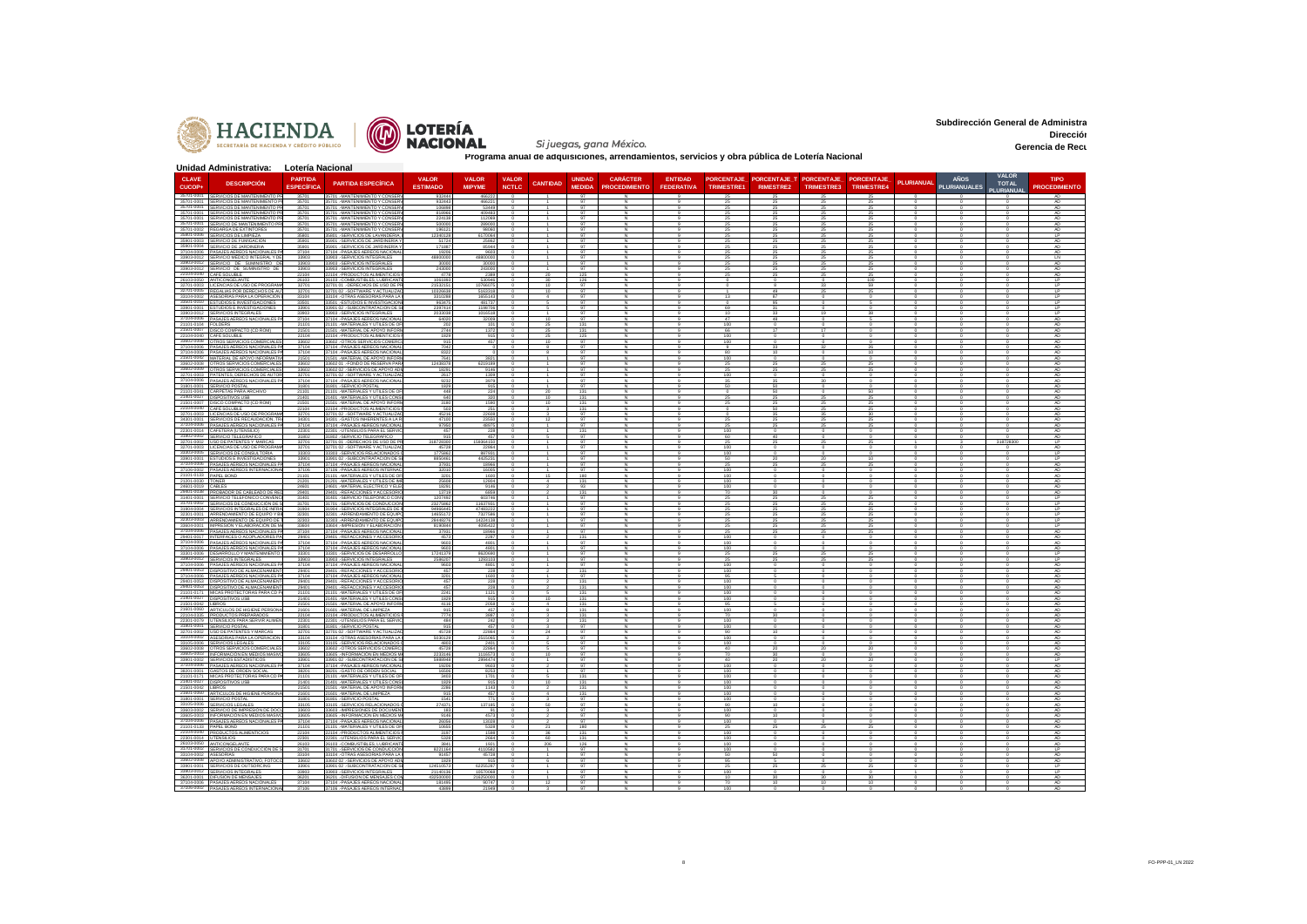



Si juegas, gana México.

**Subdirección General de Administra Dirección Administrativa Gerencia de Recu** 

|                                           | Unidad Administrativa: Lotería Nacional                                             |                                     |                                                                         |                                 |                               |                              |                 |                                |                                         |                                     |                        |                                                        |            |                          |            |                                    |                              |                                     |
|-------------------------------------------|-------------------------------------------------------------------------------------|-------------------------------------|-------------------------------------------------------------------------|---------------------------------|-------------------------------|------------------------------|-----------------|--------------------------------|-----------------------------------------|-------------------------------------|------------------------|--------------------------------------------------------|------------|--------------------------|------------|------------------------------------|------------------------------|-------------------------------------|
| <b>CLAVE</b><br>CUCOP-                    | <b>DESCRIPCIÓN</b>                                                                  | <b>PARTIDA</b><br><b>ESPECÍFICA</b> | <b>PARTIDA ESPECÍFICA</b>                                               | <b>VALOR</b><br><b>ESTIMADO</b> | <b>VALOR</b><br><b>MIPYME</b> | <b>VALOR</b><br><b>NCTLC</b> | <b>CANTIDAD</b> | <b>UNIDAD</b><br><b>MEDIDA</b> | <b>CARÁCTER</b><br><b>PROCEDIMIENTO</b> | <b>ENTIDAD</b><br><b>FEDERATIVA</b> | <b>TRIMESTRE1</b>      | PORCENTAJE PORCENTAJE T PORCENTAJE<br><b>RIMESTRE2</b> | TRIMESTRE3 | PORCENTAJE<br>TRIMESTRE4 | PLURIANUAL | <b>AÑOS</b><br><b>PLURIANUALES</b> | <b>VALOR</b><br><b>TOTAL</b> | <b>TIPO</b><br><b>PROCEDIMIENTO</b> |
|                                           | 35701-0001 SERVICIOS DE MANTENIMENTO PR                                             | 35701                               | 35701 .- MANTENIMIENTO Y CONSERV                                        | 93244                           | 46622                         |                              |                 | 97                             |                                         |                                     |                        |                                                        |            |                          |            |                                    | PLURIANUAL                   | AD                                  |
|                                           | 35701-0001 SERVICIOS DE MANTENIMIENTO PI<br>35701-0001 SERVICIOS DE MANTENIMENTO PR | 35701<br>35701                      | 35701 .- MANTENIMIENTO Y CONSER<br>15701 .- MANTENIMIENTO Y CONSER      | 932447<br>106898                | 46622<br>53449                | $^{\circ}$                   |                 | 97<br>97                       |                                         |                                     | 25<br>25               | 25                                                     | 25<br>25   | 25<br>25                 |            |                                    |                              | AD.<br>AD                           |
|                                           | 35701-0001 SERVICIOS DE MANTENIMENTO PR<br>35701-0001 SERVICIOS DE MANTENIMENTO PR  | 35701<br>35701                      | 35701 .- MANTENIMIENTO Y CONSER<br>35701.-MANTENIMIENTO Y CONSER        | 818966<br>22413                 | 409483<br>112069              |                              |                 | 97<br>97                       |                                         |                                     |                        |                                                        | 25         | 25                       |            |                                    |                              | AD<br>AD.                           |
|                                           | 35701-0001 SERVICIO DE MANTENIMIENTO PI<br>35701-0002 REGARGA DE EXTINTORES         | 35701<br>35701                      | 35701 - MANTENIMIENTO Y CONSER<br>35701 -MANTENIMIENTO Y CONSER!        | 50000<br>19612                  | 28900<br>98060                |                              |                 | 97<br>97                       |                                         |                                     |                        |                                                        | 25         | 25                       |            |                                    |                              | AD<br>AD                            |
|                                           | 35801-0006 SERVICIOS DE LIMPIEZA                                                    | 35801                               | 35801. - SERVICIOS DE LAVANDERIA.                                       | 12340128                        | 6170064                       |                              |                 | 97                             |                                         |                                     |                        |                                                        |            | 25                       |            |                                    |                              | 1P                                  |
|                                           | 35901-0003 SERVICIO DE FUMIGACION<br>35901-0004 SERVICIO DE JARDINERIA              | 35901<br>35901                      | 35901 .- SERVICIOS DE JARDINERÍA<br>35901 - SERVICIOS DE JARDINERÍA Y   | 5172<br>171887                  | 2586<br>85944                 |                              |                 | 97<br>97                       |                                         |                                     |                        |                                                        |            |                          |            |                                    |                              | ΔŊ<br>AD                            |
|                                           | 37104-0006 PASAJES AEREOS NACIONALES P<br>33903-0012 SERVICIO MÉDICO INTEGRAL Y DE  | 37104<br>33903                      | 37104 .- PASAJES AEREOS NACIONA<br>33903. - SERVICIOS INTEGRALES        | 19206<br>4880000                | 9603<br>48800000              |                              |                 | 97<br>Q                        |                                         |                                     |                        |                                                        | 25         | 25                       |            |                                    |                              | AD<br>LN                            |
|                                           | 33903-0012 SERVICIO DE SUMINISTRO DE<br>33903-0012 SERVICIO DE SUMINISTRO DE        | 33903<br>33903                      | 33903 - SERVICIOS INTEGRALES<br>33903. - SERVICIOS INTEGRALES           | 30000<br>243000                 | 30000<br>243000               |                              |                 | 97<br>97                       |                                         |                                     |                        |                                                        | 25         | 25<br>25                 |            |                                    |                              | AD<br>AD                            |
|                                           | 22104-0040 CAFÉ SOLUBLE                                                             | 22104                               | 22104. PRODUCTOS ALIMENTICIOS                                           | 477                             | 2389                          |                              |                 | 125                            |                                         |                                     |                        |                                                        |            |                          |            |                                    |                              | AD                                  |
|                                           | 26103-0050 ANTICONGELANT<br>32701-0003 LICENCIAS DE USO DE PROGRAM                  | 26103<br>32701                      | 26103. COMBUSTIBLES, LUBRICAN<br>32701 01 .- DERECHOS DE USO DE PI      | 1061893<br>21532151             | 530946<br>10766075            |                              | 10              | 126<br>97                      |                                         |                                     |                        |                                                        | 33         | 100<br>59                |            |                                    |                              | 1P<br>LP                            |
|                                           | 32701-0005 REGALIAS POR DERECHOS DE AU<br>33104-0002 ASESORÍAS PARA LA OPERACIÓN    | 32701<br>33104                      | 32701 02 - SOFTWARE Y ACTUALIZA<br>33104. - OTRAS ASESORIAS PARA LA     | 1032663<br>331028               | 5163318<br>1655143            |                              |                 | 97<br>97                       |                                         |                                     | 13                     |                                                        |            |                          |            |                                    |                              | IP.<br>1P                           |
|                                           | 33501-0010 ESTUDIOS E INVESTIGACIONES<br>33901-0001 ESTUDIOS E INVESTIGACIONES      | 33501<br>33901                      | 33501 .- ESTUDIOS E INVESTIGACION<br>33901 02 - SUBCONTRATACION DE S    | 963475<br>2397414               | 481737<br>1198706             |                              |                 | 97<br>97                       |                                         |                                     | 69                     |                                                        |            |                          |            |                                    |                              | LP<br>1P                            |
|                                           | 33903-0012 SERVICIOS INTEGRALES                                                     | 33903                               | 33903.-SERVICIOS INTEGRALES                                             | 2033038                         | 1016518                       |                              |                 | 97                             |                                         |                                     | $10^{-1}$              | $\mathcal{R}$                                          | 19         | R                        |            |                                    |                              | LP.                                 |
| 21101-0104 FOLDERS                        | 37104-0006 PASAJES AÉREOS NACIONALES PA                                             | 37104<br>21101                      | 37104 .- PASAJES AEREOS NACIONA<br>21101 .- MATERIALES Y UTILES DE OF   | 64020                           | 32009                         |                              | 10              | 97<br>131                      |                                         |                                     | 47<br>100              | 48                                                     |            |                          |            |                                    |                              | AD.<br>AD                           |
|                                           | 21501-0007 DISCO COMPACTO (CD ROM)<br>22104-0040 CAFÉ SOLUBLE                       | 21501<br>22104                      | 21501 .- MATERIAL DE APOYO INFOR<br>2104 - DRODHOTOS ALIMENTICIOS       | 2744<br>1829                    | 1372<br>915                   | $\Omega$                     | 25              | 131<br>125                     |                                         |                                     | 66<br>100              |                                                        |            |                          |            |                                    |                              | AD.<br>AD.                          |
|                                           | 33602-0008 OTROS SERVICIOS COMERCIALE<br>37104-0006 PASAJES AÉREOS NACIONALES PA    | 33602<br>37104                      | 33602. OTROS SERVICIOS COMERC<br>37104 .- PASAJES AEREOS NACIONAL       | 91<br>7042                      | 457                           | $\Omega$                     |                 | Q<br>97                        |                                         |                                     | 100                    |                                                        |            | 26                       |            |                                    |                              | AD<br>AD.                           |
|                                           | 37104-0006 PASAJES AÉREOS NACIONALES PA                                             | 37104                               | 37104 - PASAJES AEREOS NACIONAL                                         | 832                             |                               |                              |                 | 97                             |                                         |                                     |                        |                                                        |            |                          |            |                                    |                              | Δn                                  |
|                                           | 21501-0042 MATERIAL DE APOYO INFORMATIVI<br>33602-0008 OTROS SERVICIOS COMERCIALES  | 21501<br>33602                      | 21501 -MATERIAL DE APOYO INFOR<br>33602 01 - FONDO DE RESERVA PA        | 7641<br>12438378                | 3821<br>6219189               |                              |                 | 97<br>97                       |                                         |                                     | 100<br>25              |                                                        |            |                          |            |                                    |                              | AD<br>AD                            |
|                                           | 33602-0009 OTROS SERVICIOS COMERCIALES<br>32701-0003 PATENTES DERECHOS DE AUTOR     | 33602<br>32701                      | 33602 02 - SERVICIOS DE APOYO ADI<br>32701.02 - SOFTWARE Y ACTUALIZA    | 18291<br>2617                   | 9146<br>1309                  |                              |                 | 97<br>97                       |                                         |                                     | 25<br>100              |                                                        |            |                          |            |                                    |                              | AD.<br>AD                           |
|                                           | 37104-0006 PASAJES AÉREOS NACIONALES<br>31801-0001 SERVICIO POSTAL                  | 37104<br>31801                      | 37104.-PASAJES AEREOS NACIONAL<br>31801. - SERVICIO POSTAL              | 9232<br>182                     | 3979<br>915                   |                              |                 | 97<br>97                       |                                         |                                     | 35<br>50               |                                                        |            |                          |            |                                    |                              | AD.<br>AD                           |
|                                           | 21101-0041 CARPETAS PARA ARCHIVO                                                    | 21101                               | 21101. - MATERIALES Y UTILES DE OF                                      | 448                             | 224                           |                              |                 | 131                            |                                         |                                     |                        |                                                        |            |                          |            |                                    |                              | AD                                  |
|                                           | 21401-0027 DISPOSITIVOS USB<br>21501-0007 DISCO COMPACTO (CD ROM)                   | 21401<br>21501                      | 21401 - MATERIALES Y ÚTILES CONS<br>21501 .- MATERIAL DE APOYO INFOR    | 640<br>3180                     | 320<br>1590                   |                              |                 | 131<br>131                     |                                         |                                     | 25                     |                                                        | 25         | 25                       |            |                                    |                              | AD<br>AD                            |
|                                           | 22104-0040 CAFÉ SOLUBLE<br>32701-0003 LICENCIAS DE USO DE PROGRAM                   | 22104<br>32701                      | 22104. - PRODUCTOS ALIMENTICIO:<br>32701 02 - SOFTWARE Y ACTUALIZA      | 50<br>45216                     | 251<br>22608                  |                              |                 | 131<br>97                      |                                         |                                     |                        |                                                        |            | 30                       |            |                                    |                              | AD<br>AD                            |
|                                           | 34301-0001 SERVICIOS DE RECAUDACIÓN. TRA                                            | 34301                               | 34301. - GASTOS INHERENTES A LA                                         | 47100                           | 23550                         |                              |                 | 97                             |                                         |                                     |                        |                                                        |            |                          |            |                                    |                              | AD                                  |
|                                           | 37104-0006 PASAJES AÉREOS NACIONALES I<br>22301-0014 CAFETERA (UTENSILIO)           | 37104<br>22301                      | 37104 .- PASAJES AEREOS NACIONA<br>22301 .- UTENSILIOS PARA EL SERVI    | 97950<br>45                     | 48975<br>228                  |                              |                 | 97<br>131                      |                                         |                                     | 100                    |                                                        |            |                          |            |                                    |                              | AD<br>AD.                           |
|                                           | 31802-0002 SERVICIO TELEGRAFICO<br>32701-0002 USO DE PATENTES Y MARCAS              | 31802<br>32701                      | 31802. SERVICIO TELEGRAFICO<br>32701 01 .- DERECHOS DE USO DE P         | 91<br>318728300                 | 457<br>159364150              |                              |                 | 97<br>97                       |                                         |                                     | 60<br>25               |                                                        |            |                          |            |                                    | 318728300                    | AD<br><b>LP</b>                     |
| 32701-0003                                | LICENCIAS DE USO DE PROGRAM<br>33303-0005 SERVICIOS DE CONSULTORIA                  | 32701                               | 32701 02 - SOFTWARE Y ACTUALIZA<br>33303 .- SERVICIOS RELACIONADOS      | 45728                           | 22864                         |                              |                 | 97<br>97                       |                                         |                                     |                        |                                                        |            |                          |            |                                    |                              | AD<br>IP                            |
|                                           | 33901-0001 ESTUDIOS E INVESTIGACIONES                                               | 33303<br>33901                      | 33901 02 .- SUBCONTRATACION DE S                                        | 177586<br>885046                | 88793<br>4425231              |                              |                 | 97                             |                                         |                                     | 50                     |                                                        |            |                          |            |                                    |                              | <b>LP</b><br>ΔD                     |
|                                           | 37104-0006 PASAJES AÉREOS NACIONALES PA<br>37106-0002 PASAJES AÊREOS INTERNACIONAL  | 37104<br>37106                      | 37104 .- PASAJES AEREOS NACION<br>37106 .- PASAJES AEREOS INTERNAD      | 3793<br>32010                   | 1896<br>16005                 |                              |                 | q7<br>97                       |                                         |                                     | 100                    |                                                        |            |                          |            |                                    |                              | AD.                                 |
| 21101-0133 PAPEL BOND<br>21201-0030 TONER |                                                                                     | 21101<br>21201                      | 21101. - MATERIALES Y UTILES DE OF<br>21201 . MATERIALES Y ÚTILES DE IM | 320<br>2560                     | 1600<br>12804                 |                              | 15              | 180<br>13'                     |                                         |                                     | 100                    |                                                        |            |                          |            |                                    |                              | AD.                                 |
| 24601-0019 CARLES                         | 29401-0038 PROBADOR DE CABLEADO DE RE                                               | 24601                               | 24601 .- MATERIAL ELÉCTRICO Y ELE                                       | 18291                           | 9146                          |                              |                 | 93<br>131                      |                                         |                                     | 100                    |                                                        |            |                          |            |                                    |                              | AD<br>AD.                           |
|                                           | 31401-0001 SERVICIO TELEFÓNICO CONVENI                                              | 29401<br>31401                      | 29401 .-REFACCIONES Y ACCESORIO<br>31401 - SERVICIO TELEFÓNICO CON      | 13719<br>1207492                | 6859<br>603746                |                              |                 | 97                             |                                         |                                     | -70                    |                                                        |            |                          |            |                                    |                              | LP                                  |
|                                           | 31701-0002 SERVICIOS DE CONDUCCIÓN DE S<br>31904-0004 SERVICIOS INTEGRALES DE INFRA | 31701<br>31904                      | 31701. - SERVICIOS DE CONDUCCIÓ<br>31904. SERVICIOS INTEGRALES DE       | 23275862<br>9496644             | 11637931<br>47483222          |                              |                 | 97<br>97                       |                                         |                                     | -25                    |                                                        | -25        | 25                       |            |                                    |                              | IP<br><b>LP</b>                     |
|                                           | 32301-0001 ARRENDAMIENTO DE EQUIPO Y BI<br>32303-0003 ARRENDAMIENTO DE EQUIPO DE 1  | 32301<br>32303                      | 32301. ARRENDAMIENTO DE EQUIP<br>32303 .- ARRENDAMIENTO DE EQUIF        | 1465517<br>28448276             | 7327586<br>14224138           |                              |                 | 97<br>97                       |                                         |                                     | 25                     |                                                        |            | 25                       |            |                                    |                              | LP<br><b>IP</b>                     |
|                                           | 33604-0001 IMPRESIÓN Y ELABORACIÓN DE M                                             | 33604<br>37104                      | 33604 .- IMPRESIÓN Y ELABORACIÓN<br>37104 .- PASAJES AEREOS NACIONA     | 819084                          | 4095422<br>18966              |                              |                 | 97<br>97                       |                                         |                                     | 25                     |                                                        | 25         | 25                       |            |                                    |                              | $\mathsf{L}$<br>AD                  |
|                                           | 37104-0006 PASAJES AÉREOS NACIONALES PA<br>29401-0017 INTERFACES O ACOPLADORES PA   | 29401                               | 29401.REFACCIONES Y ACCESORIO                                           | 3793<br>457                     | 2287                          |                              |                 | 131                            |                                         |                                     | 100                    |                                                        |            |                          |            |                                    |                              | AD                                  |
|                                           | 37104-0006 PASAJES AÉREOS NACIONALES P<br>37104-0006 PASAJES AFREOS NACIONALES PA   | 37104<br>37104                      | 37104.-PASAJES AEREOS NACIONAL<br>37104 - PASA IFS AFREOS NACIONA       | 9603<br>9501                    | 4801<br>480                   |                              |                 | 97<br>Q                        |                                         |                                     | 100<br>100             |                                                        |            |                          |            |                                    |                              | AD.<br>AD                           |
|                                           | 33301-0006 DESARROLLO Y MANTENIMIENTO<br>33903-0012 SERVICIOS INTEGRALES            | 33301<br>33903                      | 33301. - SERVICIOS DE DESARROLLI<br>33903. - SERVICIOS INTEGRALES       | 17241379<br>2586207             | 8620690<br>1293103            |                              |                 | 97<br>97                       |                                         |                                     | 25                     |                                                        |            | 25                       |            |                                    |                              | <b>LP</b><br>LP                     |
|                                           | 37104-0006 PASAJES AÉREOS NACIONALES PA<br>29401-0053 DISPOSITIVO DE ALMACENAMIENT  | 37104                               | 37104 .- PASAJES AEREOS NACIONAL<br>29401.-REFACCIONES Y ACCESORIO      | 960<br>457                      | 480<br>228                    |                              |                 | 97<br>131                      |                                         |                                     | 100                    |                                                        |            |                          |            |                                    |                              | AD.<br>AD.                          |
|                                           | 37104-0006 PASAJES AÉREOS NACIONALES                                                | 29401<br>37104                      | 104 - PASAJES AEREOS NACIONA                                            | 320                             | 160                           |                              |                 | 97                             |                                         |                                     |                        |                                                        |            |                          |            |                                    |                              |                                     |
|                                           | 29401-0053 DISPOSITIVO DE ALMACENAMIENT<br>29401-0053 DISPOSITIVO DE ALMACENAMIENT  | 29401<br>29401                      | 29401 .- REFACCIONES Y ACCESORIO<br>29401.REFACCIONES Y ACCESORIO       | 457<br>457                      | 228<br>228                    |                              |                 | 131<br>131                     |                                         |                                     | 100<br>100             |                                                        |            |                          |            |                                    |                              | AD<br>AD.                           |
|                                           | 21101-0171 MICAS PROTECTORAS PARA CD<br>21401-0027 DISPOSITIVOS USB                 | 21101<br>21401                      | 1101. MATERIALES Y UTILES DE O<br>21401 .- MATERIALES Y ÚTILES CONS     | 224<br>1829                     | 915                           |                              |                 | 131<br>131                     |                                         |                                     | 100                    |                                                        |            |                          |            |                                    |                              | AD                                  |
| 21501-0042 LIBROS                         | 21601-0060 ARTICULOS DE HIGIENE PERSON                                              | 21501<br>21601                      | 21501 .- MATERIAL DE APOYO INFOR<br>21601 - MATERIAL DE LIMPIEZA        | 4116<br>915                     | 2058<br>457                   |                              |                 | 131<br>131                     |                                         |                                     | 95<br>100              |                                                        |            |                          |            |                                    |                              | AD.<br>AD                           |
|                                           | 22104-0335 PRODUCTOS PREPARADOS                                                     | 22104                               | 2104. PRODUCTOS ALIMENTICIOS                                            | 7774                            | 3887                          |                              |                 | 131                            |                                         |                                     | 7ή                     |                                                        |            |                          |            |                                    |                              | AD.                                 |
|                                           | 22301-0079 UTENSILIOS PARA SERVIR ALIM<br>31801-0001 SERVICIO POSTAL                | 22301<br>31801                      | 22301. UTENSILIOS PARA EL SERVIC<br>1801.-SERVICIO POSTA                | 484<br>915                      | 242<br>45                     |                              |                 | 131<br>97                      |                                         |                                     | 100                    |                                                        |            |                          |            |                                    |                              | AD<br>AD                            |
|                                           | 32701-0002 USO DE PATENTES Y MARCAS<br>33104-0002 ASESORIAS PARA LA OPERACION       | 32701<br>33104                      | 32701 02 - SOFTWARE Y ACTUALIZA<br>33104 .- OTRAS ASESORIAS PARA LA     | 45728<br>5030129                | 22864<br>2515065              |                              | 24              | 97<br>97                       |                                         |                                     | 90<br>100              |                                                        |            |                          |            |                                    |                              | AD.<br>AD                           |
|                                           | 33105-0006 SERVICIOS LEGALES<br>33602-0008 OTROS SERVICIOS COMERCIALE               | 33105<br>33602                      | 33105 .- SERVICIOS RELACIONADOS<br>33602. - OTROS SERVICIOS COMERC      | 480<br>45728                    | 240<br>22864                  |                              |                 | 97<br>97                       |                                         |                                     | 100<br>40              |                                                        |            |                          |            |                                    |                              | AD<br>AD.                           |
|                                           | 33605-0003 INFORMACIÓN EN MEDIOS MASIV<br>33901-0002 SERVICIOS ESTADISTICOS         | 33605<br>33901                      | 33605 .- INFORMACIÓN EN MEDIOS M<br>33901.02 - SLIBCONTRATACION DE S    | 2233146<br>598894               | 1116573<br>2994474            |                              |                 | 97<br>Q                        |                                         |                                     | 70<br>$\overline{40}$  |                                                        |            |                          |            |                                    |                              | AD<br>$\overline{P}$                |
|                                           | 37104-0006 PASAJES AEREOS NACIONALES P/                                             | 37104                               | 37104 .- PASAJES AEREOS NACIONAL                                        | 1920                            | 9603                          |                              |                 | 97                             |                                         |                                     | 100                    |                                                        |            |                          |            |                                    |                              | AD                                  |
|                                           | 38201-0001 GASTOS DE ORDEN SOCIAL<br>21101-0171 MICAS PROTECTORAS PARA CD P/        | 38201<br>21101                      | 38201 .- GASTO DE ORDEN SOCIAL<br>21101. MATERIALES Y UTILES DE OF      | 1650<br>340                     | 8253<br>1701                  |                              |                 | 97<br>131                      |                                         |                                     | 100<br>10 <sup>c</sup> |                                                        |            |                          |            |                                    |                              | AD<br>AD.                           |
| 21501-0042 LIBROS                         | 21401-0027 DISPOSITIVOS USB                                                         | 21401<br>21501                      | 21401 .- MATERIALES Y ÚTILES CONS<br>21501 .- MATERIAL DE APOYO INFOR   | 1829<br>2286                    | 915<br>1143                   |                              | 10              | 131<br>131                     |                                         |                                     | 100<br>100             |                                                        |            |                          |            |                                    |                              | AD.<br>AD                           |
|                                           | 21601-0060 ARTICULOS DE HIGIENE PERSONA                                             | 21601                               | 1601 .- MATERIAL DE LIMPIEZA                                            | 915                             | 457                           |                              |                 | 131                            |                                         |                                     | 10 <sup>c</sup>        |                                                        |            |                          |            |                                    |                              | AD.                                 |
|                                           | 31801-0001 SERVICIO POSTAL<br>33105-0006 SERVICIOS LEGALE                           | 31801<br>33105                      | 31801 .- SERVICIO POSTAL<br>33105. SERVICIOS RELACIONADO                | 1541<br>27437                   | 771<br>37185                  |                              |                 | 97                             |                                         |                                     | 100                    |                                                        |            |                          |            |                                    |                              | AD.                                 |
|                                           | 33603-0002 SERVICIO DE IMPRESIÓN DE DOC<br>33605-0003 INFORMACIÓN EN MEDIOS MASIVO  | 33603<br>33605                      | 33603. IMPRESIONES DE DOCUMEN<br>33605 - INFORMACIÓN EN MEDIOS M        | 183<br>9146                     | Q <sub>1</sub><br>4573        |                              |                 | 97<br>97                       |                                         |                                     | 100<br>90              |                                                        |            |                          |            |                                    |                              | AD<br>AD.                           |
| 21101-0133 PAPEL BOND                     | 37104-0006 PASAJES AEREOS NACIONALES                                                | 37104                               | 37104. PASAJES AEREOS NACIONA                                           | 26056<br>10655                  | 13028<br>5328                 |                              |                 | 180                            |                                         |                                     |                        |                                                        |            |                          |            |                                    |                              | AD                                  |
|                                           | 22104-0040 PRODUCTOS ALIMENTICIOS                                                   | 21101<br>22104                      | 21101 - MATERIALES Y UTILES DE OF<br>22104. - PRODUCTOS ALIMENTICIOS    | 3197                            | 1598                          |                              | 36              | 131                            |                                         |                                     | 100                    |                                                        |            |                          |            |                                    |                              | AD.                                 |
| 22301-0014 UTENSILIOS                     | 26103-0050 ANTICONGELANTI                                                           | 22301<br>26103                      | 22301 .- UTENSILIOS PARA EL SERVI<br>26103 .- COMBUSTIBLES. LUBRICANT   | 532<br>3841                     | 2664<br>1921                  |                              | 206             | 131<br>126                     |                                         |                                     | 100<br>100             |                                                        |            |                          |            |                                    |                              | AD<br>AD                            |
| 33104-0002 ASESORIAS                      | 31701-0002 SERVICIOS DE CONDUCCIÓN DE                                               | 31701<br>33104                      | 31701 .- SERVICIOS DE CONDUCCIÓ!<br>3104 .- OTRAS ASESORIAS PARA LA     | 8221164<br>9145                 | 4110582<br>45728              |                              |                 | 97                             |                                         |                                     | 100                    |                                                        |            |                          |            |                                    |                              | <b>LP</b>                           |
|                                           | 33602-0008 APOYO ADMINISTRATIVO, FOTO                                               | 33602                               | 33602 02 - SERVICIOS DE APOYO AD                                        | 182<br>12451057                 | 915                           |                              |                 | 97<br>97                       |                                         |                                     | 95                     |                                                        |            |                          |            |                                    |                              | AD<br>P                             |
|                                           | 33901-0001 SERVICIOS DE OUTSORCING<br>33903-0012 SERVICIOS INTEGRALES               | 33901<br>33903                      | 33901 02 .- SUBCONTRATACION DE S<br>33903. - SERVICIOS INTEGRALES       | 2114013                         | 62255287<br>0570068           |                              |                 | 97                             |                                         |                                     | 25                     |                                                        |            |                          |            |                                    |                              | LP                                  |
|                                           | 36201-0001 DIFUSIÓN DE MENSAJES<br>37104-0006 PASAJES AEREOS NACIONALES             | 36201<br>37104                      | 36201 .- DIFUSION DE MENSAJES CO<br>37104 .- PASAJES AEREOS NACIONAL    | 432500000<br>181495             | 216250000<br>90747            |                              | 12              | 97<br>97                       |                                         |                                     |                        |                                                        |            |                          |            |                                    |                              | AD.<br>AD                           |
|                                           | 37106-0002 PASAJES AEREOS INTERNACIONAL                                             | 37106                               | 37106 - PASAJES AEREOS INTERNAC                                         | 4389                            | 21949                         |                              |                 |                                |                                         |                                     |                        |                                                        |            |                          |            |                                    |                              |                                     |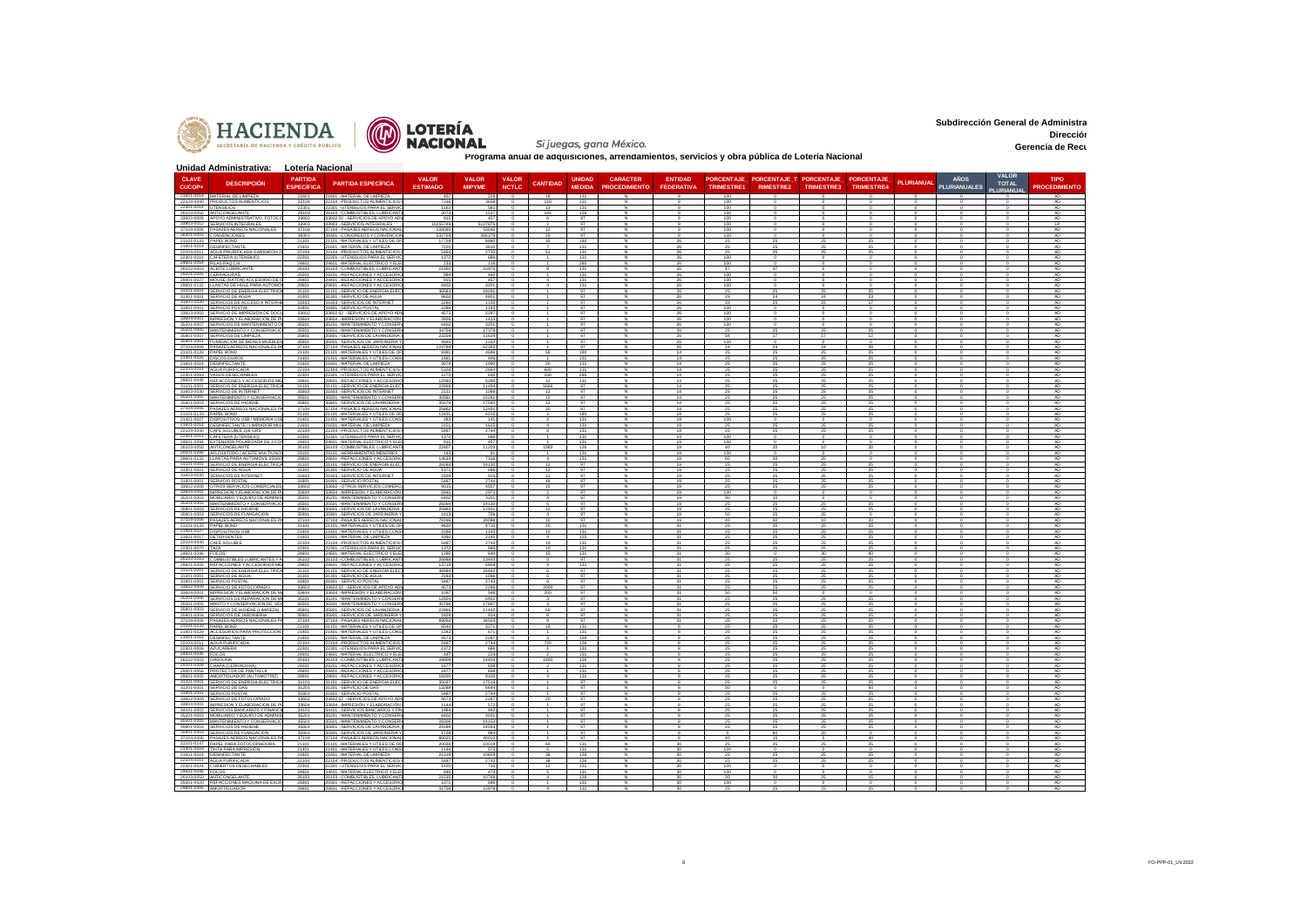



**Subdirección General de Administra Dirección Administrativa Gerencia de Recu** 

|                                        | Unidad Administrativa: Lotería Nacional                                             |                                     |                                                                         |                                 |                               |                              |                         |                                |                                         |                                     |            |                  |                                                  |                          |           |                                    |                                           |                                     |
|----------------------------------------|-------------------------------------------------------------------------------------|-------------------------------------|-------------------------------------------------------------------------|---------------------------------|-------------------------------|------------------------------|-------------------------|--------------------------------|-----------------------------------------|-------------------------------------|------------|------------------|--------------------------------------------------|--------------------------|-----------|------------------------------------|-------------------------------------------|-------------------------------------|
| <b>CLAVE</b><br>CUCOP-                 | <b>DESCRIPCIÓN</b>                                                                  | <b>PARTIDA</b><br><b>ESPECÍFIC/</b> | <b>PARTIDA ESPECÍFICA</b>                                               | <b>VALOR</b><br><b>ESTIMADO</b> | <b>VALOR</b><br><b>MIPYME</b> | <b>VALOR</b><br><b>NCTLC</b> | <b>CANTIDAD</b>         | <b>UNIDAD</b><br><b>MEDIDA</b> | <b>CARÁCTER</b><br><b>PROCEDIMIENTO</b> | <b>ENTIDAD</b><br><b>FEDERATIVA</b> | TRIMESTRE1 | <b>RIMESTRE2</b> | PORCENTAJE PORCENTAJE T PORCENTAJE<br>TRIMESTRE3 | PORCENTAJE<br>TRIMESTRE4 | PLURIANUA | <b>AÑOS</b><br><b>PLURIANUALES</b> | <b>VALOR</b><br><b>TOTAL</b><br>PLURIANUA | <b>TIPO</b><br><b>PROCEDIMIENTO</b> |
| 22104-0040                             | 21601-0014 MATERIAL DE LIMPIEZA<br>PRODUCTOS ALIMENTICIOS                           | 21601<br>22104                      | 21601 .- MATERIAL DE LIMPIEZA<br>22104. - PRODUCTOS ALIMENTICIOS        | 457<br>7316                     | 3658                          | $\Omega$<br>$^{\circ}$       | 18<br>118               | 131<br>131                     |                                         |                                     | 100<br>100 |                  |                                                  |                          |           |                                    |                                           | AD<br>AD                            |
| 22301-0014                             | <b>UTENSILIOS</b><br>26103-0050 ANTICONGELANT                                       | 22301<br>26103                      | 22301 .- UTENSILIOS PARA EL SERV<br>26103. COMBUSTIBLES, LUBRICANT      | 1162<br>3073                    | 1537                          |                              | 13<br>165               | 131<br>126                     |                                         |                                     | 100<br>100 |                  |                                                  |                          |           |                                    |                                           | AD<br>AD                            |
| 33602-0008<br>33903-0012               | APOYO ADMINISTRATIVO, FOTO<br><b>ERVICIOS INTEGRALE</b>                             | 33602<br>33903                      | 33602 02 .- SERVICIOS DE APOYO ADM<br>33903. - SERVICIOS INTEGRALES     | 915<br>0255749                  | 457<br>127875                 |                              | -6                      | 97                             |                                         |                                     | 100        |                  |                                                  |                          |           |                                    |                                           | AD.                                 |
|                                        | 37104-0006 PASAJES AFREOS NACIONALES                                                | 37104                               | 37104 - PASA IES AEREOS NACIONAL                                        | 106090                          | 53045                         |                              | 12                      | 97                             |                                         |                                     | 100        |                  |                                                  |                          |           |                                    |                                           | AD                                  |
| 38301-0001<br>21101-0133               | CONVENCIONES                                                                        | 38301<br>21101                      | 38301. CONGRESOS Y CONVENCIO<br>21101 .- MATERIALES Y UTILES DE O       | 532759<br>1775                  | 266379                        |                              | 20                      | 97                             |                                         |                                     | 100        |                  |                                                  |                          |           |                                    |                                           | AD.                                 |
| 21601-0014 DESINFECTANT                | 22104-0011 AGUA PRURIFICADA GARRAFON 2                                              | 21601<br>22104                      | 21601 -MATERIAL DE LIMPIEZA<br>22104. - PRODUCTOS ALIMENTICIOS F        | 7220<br>5464                    | 3610<br>2732                  | $^{\circ}$                   | 51                      | 131<br>131                     |                                         | - 26                                | 25         | 25               | 25<br>- 25                                       | 25                       |           |                                    |                                           | AD<br>AD                            |
| 22301-0014<br>24601-0064 PILAS PAO C/4 | CAFETERA (UTENSILIO)                                                                | 22301<br>24601                      | 22301 .- UTENSILIOS PARA EL SERVI<br>24601 - MATERIAL ELÉCTRICO Y ELE   | 1372<br>233                     | 686<br>116                    |                              |                         | 131<br>285                     |                                         |                                     | 100<br>100 |                  |                                                  |                          |           |                                    |                                           | AD.<br>AD                           |
|                                        | 26102-0003 ACEITE LUBRICANTE                                                        | 26103                               | 26103. COMBUSTIBLES, LUBRICANTI                                         | 21950                           | 10975                         |                              |                         | 131                            |                                         | 26                                  | 47         |                  |                                                  |                          |           |                                    |                                           | AD.                                 |
| 29201-0005                             | FRRADURA:<br>29401-0027 MOUSE (RATON) ACCESORIO DE                                  | 29201<br>29401                      | 29201 .- REFACCIONES Y ACCESORI<br>29401. REFACCIONES Y ACCESORIO       | 984<br>915                      | 492<br>457                    |                              |                         | 131<br>131                     |                                         |                                     | 100<br>100 |                  |                                                  |                          |           |                                    |                                           | AD<br>AD.                           |
| 29601-0132<br>31101-0001               | LLANTAS DE HULE PARA AUTOMO<br>SERVICIO DE ENERGIA ELECTRIC                         | 29601<br>31101                      | 29601 .- REFACCIONES Y ACCESORIO<br>31101 .- SERVICIO DE ENERGÍA ELÉC   | 6402<br>36583                   | 3201<br>18291                 |                              |                         | 131<br>97                      |                                         |                                     | 100        |                  |                                                  |                          |           |                                    |                                           | AD<br>AD                            |
| 31603-0030                             | 31301-0001 SERVICIO DE AGUA<br>ERVICIOS DE ACCESO A INTERN                          | 31301<br>31603                      | 31301 .- SERVICIO DE AGUA<br>31603 .- SERVICIOS DE INTERNET             | 9603<br>2260                    | 4801<br>1130                  |                              |                         | 97<br>$97\,$                   |                                         |                                     | 29<br>33   |                  | 24<br>25                                         |                          |           |                                    |                                           | AD.<br>AD.                          |
|                                        | 31801-0001 SERVICIO POSTAL                                                          | 31801                               | 31801.-SERVICIO POSTAL                                                  | 2286                            | 1143                          |                              |                         | Q                              |                                         |                                     | 100        |                  |                                                  |                          |           |                                    |                                           | AD.                                 |
| 33604-0001                             | 33603-0002 SERVICIO DE IMPRESIÓN DE DOC<br>IMPRESIÓN Y ELABORACIÓN DE               | 33602<br>33604                      | 33602 02 .- SERVICIOS DE APOYO ADM<br>33604 .- IMPRESIÓN Y ELABORACIÓN  | 4573<br>2826                    | 2287<br>1413                  | $\Omega$                     |                         | 97<br>97                       |                                         | 26                                  | 100<br>100 |                  |                                                  |                          |           |                                    |                                           | AD.<br>AD.                          |
|                                        | 35201-0007 SERVICIOS DE MANTENIMIENTO<br>35501-0005 MANTENIMIENTO Y CONSERVACI      | 35201<br>35501                      | 35201. MANTENIMIENTO Y CONSER!<br>35501 .- MANTENIMIENTO Y CONSERY      | 6402<br>34759                   | 3201<br>17379                 | $\Omega$                     |                         | Q<br>97                        |                                         | 26                                  | 100<br>25  |                  | 25                                               |                          |           |                                    |                                           | AD.<br>AD.                          |
| 25901-0007                             | SERVICIOS DE LIMPIEZA<br>35901-0001 FUMIGACION DE BIENES MUEBLE                     | 35801<br>35901                      | 35801 - SERVICIOS DE LAVANDERIA<br>35901.-SERVICIOS DE JARDINERÍA '     | 23259<br>4665                   | 11629<br>1332                 |                              |                         | $\overline{a7}$<br>Q           |                                         |                                     | 100        |                  |                                                  |                          |           |                                    |                                           | AD.<br>AD.                          |
| 21101-0133                             | 37104-0006 PASAJES AÉREOS NACIONALES P                                              | 37104                               | 37104 .- PASAJES AEREOS NACIONAL                                        | 124784                          | 62392<br>4696                 | $\Omega$                     | n <sub>0</sub>          | 97<br>180                      |                                         | 26                                  | 24         | 24               | 24                                               | <b>28</b>                |           |                                    |                                           | AD.<br>$\overline{a}$               |
| 21401-0026                             | PAPEL BOND<br><b>DISCOS DUROS</b>                                                   | 21101<br>21401                      | 21101 .- MATERIALES Y UTILES DE OR<br>21401 - MATERIALES Y ÚTILES CONS  | 9391<br>1691                    | 846                           |                              |                         | 131                            |                                         | 14                                  |            |                  |                                                  |                          |           |                                    |                                           | AD                                  |
| 21601-0014<br>22104-0011               | <b>DESINFECTAN</b><br>AGUA PURIFICADA                                               | 21601<br>22104                      | 21601 .- MATERIAL DE LIMPIEZA<br>22104 - PRODUCTOS ALIMENTICIOS         | 3979<br>5328                    | 1990<br>2664                  |                              | 20<br>600               | 131<br>131                     |                                         | 14                                  |            |                  |                                                  | 25                       |           |                                    |                                           | AD.<br>AD                           |
|                                        | 22301-0083 VASOS DESECHARLES<br>29601-0045 REFACCIONES Y ACCESORIOS MI              | 22301<br>29601                      | 22301 .- UTENSILIOS PARA EL SERVIC<br>29601. - REFACCIONES Y ACCESORIO  | 1270<br>12580                   | 635<br>6290                   |                              | 150<br>12               | 285<br>131                     |                                         | 14<br>14                            | 25         |                  | 25                                               | 25                       |           |                                    |                                           | AD<br>AD.                           |
| 31101-0001                             | SERVICIO DE ENERGIA ELECTRIC<br>SERVICIO DE INTERNET                                | 31101<br>31603                      | 31101 .- SERVICIO DE ENERGÍA ELÉC<br>31603. - SERVICIOS DE INTERNET     | 22868<br>2131                   | 11434<br>1066                 |                              | 5666<br>12 <sup>5</sup> | 97<br>97                       |                                         | 14<br>14                            |            |                  | 25                                               |                          |           |                                    |                                           | AD<br>AD                            |
| 31603-0030                             | 35501-0005 MANTENMENTO Y CONSERVACI                                                 | 35501                               | 35501. - MANTENIMIENTO Y CONSER'                                        | 30581                           | 15291                         |                              | 12                      | 97                             |                                         | 14                                  | 25         |                  | 25                                               | 25                       |           |                                    |                                           | AD                                  |
| 35801-0003                             | SERVICIOS DE HIGIENE<br>37104-0006 PASAJES AEREOS NACIONALES F                      | 35801<br>37104                      | 35801 .- SERVICIOS DE LAVANDERIA<br>37104 .- PASAJES AEREOS NACIONA     | 35079<br>25862                  | 17540<br>12931                |                              | 12                      | 97<br>97                       |                                         | 14                                  |            |                  |                                                  |                          |           |                                    |                                           | AD<br>AD                            |
| 21101-0133 PAPEL BOND<br>21401-0027    | <b>ISPOSITIVOS USB / MEMORIA LI</b>                                                 | 21101<br>21401                      | 21101 .- MATERIALES Y UTILES DE OF<br>21401 .- MATERIALES Y ÚTILES CON  | 12431<br>283                    | 6215<br>141                   |                              |                         | 180<br>131                     |                                         | 19                                  |            |                  | 25                                               | 25                       |           |                                    |                                           | AD<br>AD                            |
| 21601-0014                             | DESINFECTANTE / LIMPIADOR ML<br>22104-0040 CAFÉ SOLUBLE 226 GRS                     | 21601<br>22104                      | 21601. - MATERIAL DE LIMPIEZA<br>22104. - PRODUCTOS ALIMENTICIOS        | 2151<br>5487                    | 1625<br>2744                  |                              |                         | 131<br>131                     |                                         |                                     |            |                  |                                                  |                          |           |                                    |                                           | AD<br>AD                            |
| 22301-0014                             | <b>CAFETERA (UTENSILIO)</b>                                                         | 22301                               | 2301. UTENSILIOS PARA EL SERVI                                          | 1372                            | 686                           |                              |                         | 131                            |                                         | 19                                  | 25         |                  | 25                                               | 25                       |           |                                    |                                           |                                     |
|                                        | 24601-0094 EXTENSIÓN POLARIZADA DE 3 CC<br>26103-0050 ANTICONGELANTE                | 24601<br>26103                      | 24601 .- MATERIAL ELÉCTRICO Y ELE<br>26103. - COMBUSTIBLES, LUBRICANTI  | 915<br>22407                    | 457<br>11203                  |                              | 1083                    | 131<br>126                     |                                         | 19<br>19                            | 100<br>40  |                  | 10                                               |                          |           |                                    |                                           | AD.<br>AD                           |
| 29601-0132                             | 29101-0296 AFLOJATODO / ACEITE MULTIUSO<br>LLANTAS PARA AUTOMOVIL 205/6             | 29101<br>29601                      | 29101 - HERRAMIENTAS MENORES<br>29601. REFACCIONES Y ACCESORIO          | 183<br>14633                    | 04<br>7316                    |                              | $\Delta$                | 131<br>131                     |                                         | 19                                  | 100<br>60  |                  | -20                                              |                          |           |                                    |                                           | AD<br>AD.                           |
| 31101-0001                             | ERVICIÓ DE ENERGIA ELECTRIC<br>31301-0001 SERVICIO DE AGUA                          | 31101<br>31301                      | 31101. SERVICIO DE ENERGÍA ELÉ<br>31301.-SERVICIO DE AGUA               | 28260<br>1371                   | 14130<br><b>GRA</b>           |                              | 12                      | 97                             |                                         | 10                                  |            |                  |                                                  |                          |           |                                    |                                           | AD<br>AD                            |
| 31603-0030                             | SERVICIOS DE INTERNET                                                               | 31603                               | 31603. - SERVICIOS DE INTERNET                                          | 1829                            | 915                           |                              | 12                      | 97                             |                                         | 19                                  | 25         |                  | 25                                               | つた                       |           |                                    |                                           | AD.                                 |
| 31801-0001                             | ERVICIO POSTAI<br>33602-2008 OTROS SERVICIOS COMERCIALE                             | 3180<br>33602                       | 31801.-SERVICIO POSTA<br>33602. - OTROS SERVICIOS COMERO                | 548<br>9015                     | 2744<br>4507                  |                              | 10 <sub>1</sub>         | 97                             |                                         | 10                                  |            |                  |                                                  |                          |           |                                    |                                           | AD                                  |
| 33604-0001<br>35201-0003               | IMPRESION Y ELABORACION DE P<br>MOBILIARIO Y EQUIPO DE ADMI?                        | 33604<br>35201                      | 33604. IMPRESION Y ELABORACION<br>35201 .- MANTENIMIENTO Y CONSER       | 5945<br>640                     | 2972<br>3201                  |                              |                         | 97<br>Q <sub>2</sub>           |                                         | 19                                  | 100        |                  |                                                  |                          |           |                                    |                                           | AD<br>AD                            |
|                                        | 35501-0005 MANTENIMIENTO Y CONSERVACI<br>35801-0003 SERVICIOS DE HIGIENE            | 35501<br>35801                      | 35501 .- MANTENIMIENTO Y CONSER<br>35801. - SERVICIOS DE LAVANDERIA,    | 28260<br>25862                  | 14130<br>12931                |                              | 12                      | 97<br>97                       |                                         | 19<br>19                            |            |                  | 25<br>25                                         |                          |           |                                    |                                           | AD.<br>AD                           |
| 35901-0003                             | SERVICIOS DE FUMIGACION<br>37104-0006 PASAJES AEREOS NACIONALES P                   | 35901<br>37104                      | 35901 .- SERVICIOS DE JARDINERÍA<br>37104 .- PASAJES AEREOS NACIONAL    | 141<br>78196                    | 39098                         |                              | 10 <sub>1</sub>         | Q <sub>2</sub><br>97           |                                         | 19                                  | 40         |                  | $10^{-1}$                                        | 20                       |           |                                    |                                           | AD.                                 |
| 21101-0133 PAPEL BOND                  |                                                                                     | 21101                               | 21101. - MATERIALES Y UTILES DE OF                                      | 9420                            | 4710                          |                              | 20                      | 131                            |                                         | 31                                  | 25         | 25               | 25                                               | 25                       |           |                                    |                                           | AD                                  |
| 21401-0027<br>21601-0017               | <b>IISPOSITIVOS US</b><br>DETERGENTES                                               | 21401<br>21601                      | 21401 .- MATERIALES Y ÚTILES CONS<br>21601. - MATERIAL DE LIMPIEZA      | 2286<br>4390                    | 1143<br>2195                  |                              |                         | 131<br>125                     |                                         |                                     |            |                  |                                                  |                          |           |                                    |                                           | AD<br>AD.                           |
| 22104-0040<br>22301-0070               | CAFE SOLUBLE<br><b>TAZA</b>                                                         | 22104<br>22301                      | 22104. - PRODUCTOS ALIMENTICIOS<br>22301 - UTENSILIOS PARA EL SERVI     | 5487<br>1372                    | 2743<br>685                   |                              | 10<br>40 <sub>1</sub>   | 131<br>131                     |                                         |                                     | 25         |                  | 25                                               | 25<br>25                 |           |                                    |                                           | AD<br>AD.                           |
| 24601-0046<br>26103-0013               | FOCOS                                                                               | 24601                               | 24601 .- MATERIAL ELÉCTRICO Y ELE                                       | 1280                            | 640                           |                              | 15                      | 131<br>97                      |                                         |                                     | ٦n         |                  | 30                                               | 40                       |           |                                    |                                           | AD.                                 |
| 29601-0005                             | COMBUSTIBLES LUBRICANTES Y<br>REFACCIONES Y ACCESORIOS MI                           | 26103<br>29601                      | 26103. COMBUSTIBLES, LUBRICANT<br>29601 .- REFACCIONES Y ACCESORIO      | 26888<br>13719                  | 13443<br>6859                 |                              |                         | 131                            |                                         |                                     |            |                  | 25                                               | 25                       |           |                                    |                                           | AD<br>AD.                           |
| 31301-0001                             | 31101-0001 SERVICIO DE ENERGIA ELECTRIC.<br>ERVICIO DE AGUA                         | 31101<br>31301                      | 31101 .- SERVICIO DE ENERGÍA ELÉC<br>31301. SERVICIO DE AGUA            | 48984<br>2193                   | 24492                         |                              |                         | 97<br>q7                       |                                         |                                     | 25         |                  | 25                                               | 25                       |           |                                    |                                           | AD.                                 |
| 31801-0001                             | SERVICIO POSTAL<br>33602-0009 SERVICIO DE FOTOCOPIADO                               | 31801<br>33602                      | 31801. - SERVICIO POSTAL<br>33602 02 .- SERVICIOS DE APOYO AD           | 5487<br>4573                    | 2743<br>2286                  |                              | 2000                    | 97<br>97                       |                                         |                                     | 25         |                  | 25                                               | 25                       |           |                                    |                                           | AD<br>AD.                           |
| 33604-0001                             | MPRESIÓN Y ELABORACIÓN DE I<br>35201-0006 SERVICIOS DE REPARACION DE M              | 33604                               | 33604 .- IMPRESIÓN Y ELABORACIÓN<br>35201 .- MANTENIMIENTO Y CONSER     | 109<br>12804                    |                               |                              |                         | 97<br>97                       |                                         |                                     |            |                  |                                                  |                          |           |                                    |                                           | AD                                  |
| 35801-0003                             | 35501-0005 MANTO Y CONSERVACION DE VE                                               | 35201<br>35501                      | 35501. MANTENIMIENTO Y CONSERY                                          | 35796                           | 6402<br>17897                 |                              | $\mathbf{3}$            | 97                             |                                         | 31                                  | 25         | 25               | 25                                               | 25                       |           |                                    |                                           | AD.                                 |
|                                        | SERVICIO DE HIGIENE (LIMPIEZA)<br>35901-0004 SERVICIOS DE JARDINERIA                | 35801<br>35901                      | 35801 .- SERVICIOS DE LAVANDERIA,<br>35901. - SERVICIOS DE JARDINERÍA Y | 22865<br>1829                   | 11432<br>914                  |                              |                         | 97<br>97                       |                                         |                                     |            |                  | 25                                               |                          |           |                                    |                                           | AD<br>AD.                           |
| 21101-0133                             | 37104-0006 PASAJES AEREOS NACIONALES<br>PAPEL BOND                                  | 37104<br>21101                      | 37104. - PASAJES AEREOS NACIONAL<br>21101. - MATERIALES Y UTILES DE OF  | 69050<br>6542                   | 34525<br>327                  |                              |                         | 97<br>131                      |                                         |                                     | 25         |                  | 25                                               | 25                       |           |                                    |                                           | AD<br>AD                            |
| 21401-0029                             | ACCESORIOS PARA PROTECCION<br>21601-0014 DESINFECTANTE                              | 21401<br>21601                      | 21401 .- MATERIALES Y ÚTILES CONS<br>21601 .- MATERIAL DE LIMPIEZA      | 1342<br>4573                    | 671<br>2287                   |                              |                         | 131<br>126                     |                                         |                                     |            |                  | 25                                               | 25                       |           |                                    |                                           | AD.<br>AD                           |
| 22104-0011<br>22301-0006               | GUA PURIFICADA<br><b>AZUCARERA</b>                                                  | 22104<br>22301                      | 22104 .- PRODUCTOS ALIMENTICIOS<br>22301. - UTENSILIOS PARA EL SERVI    | 5487<br>1372                    | 2744<br>686                   |                              | 720                     | 126<br>131                     |                                         |                                     |            |                  |                                                  | 25                       |           |                                    |                                           | AD<br>AD                            |
| 24601-0046                             | FOCOS                                                                               | 24601                               | 24601 .- MATERIAL ELÉCTRICO Y ELE                                       | 447                             | 224                           |                              |                         | 131                            |                                         |                                     |            |                  | 25                                               | 25                       |           |                                    |                                           | AD                                  |
| 26102-0003<br>29201-0008               | GASOLINA<br>CHAPA (CERRADURA)                                                       | 26103<br>29201                      | 26103 -COMBUSTIBLES LUBBICANT<br>29201. - REFACCIONES Y ACCESORIO       | 28809<br>1677                   | 14404<br>838                  |                              | 1600                    | 126<br>131                     |                                         |                                     |            |                  |                                                  |                          |           |                                    |                                           | AD.<br>AD                           |
| 29401-0056<br>29601-0005               | PROTECTOR DE PANTALLA<br>AMORTIGUADOR (AUTOMOTRIZ)                                  | 29401<br>29601                      | 29401. - REFACCIONES Y ACCESORIO<br>29601.REFACCIONES Y ACCESORIO       | 1677<br>18200                   | 838<br>9100                   |                              |                         | 131<br>131                     |                                         |                                     | 25         |                  | 25                                               | 25                       |           |                                    |                                           | AD                                  |
| 31201-0001                             | 31101-0001 SERVICIO DE ENERGIA ELECTRICA                                            | 31101<br>31201                      | 31101 - SERVICIO DE ENERGÍA ELÉC                                        | 35037                           | 17519<br>6644                 | $\Omega$                     |                         | 97<br>97                       |                                         |                                     | 25<br>50   |                  | 25                                               | 25<br>50                 |           |                                    |                                           | AD.<br>AD                           |
| 31801-0001                             | SERVICIO DE GAS<br><b>ERVICIO POSTA</b>                                             | 31801                               | 31201. - SERVICIO DE GAS<br>31801. SERVICIO POS                         | 13289<br>5487                   | 2744                          |                              |                         | 97                             |                                         |                                     |            |                  |                                                  |                          |           |                                    |                                           |                                     |
|                                        | 33602-0009 SERVICIO DE FOTOCOPIADO<br>33604-0001 IMPRESION Y ELABORACION DE F       | 33602<br>33604                      | 33602 02 - SERVICIOS DE APOYO ADI<br>33604 .- IMPRESIÓN Y ELABORACIÓN   | 4573<br>1144                    | 2287<br>572                   |                              |                         | 97<br>97                       |                                         |                                     |            |                  | 25                                               | 25                       |           |                                    |                                           | AD.<br>AD                           |
|                                        | 34101-0002 SERVICIOS BANCARIOS Y FINANC<br>35201-0003 MOBILIARIO Y EQUIPO DE ADMINI | 34101<br>35201                      | 34101. - SERVICIOS BANCARIOS Y FIN<br>35201 .- MANTENIMIENTO Y CONSERV  | 1884<br>6402                    | 942<br>3201                   |                              |                         | 97<br>97                       |                                         |                                     |            |                  | 25                                               | 25                       |           |                                    |                                           | AD<br>AD.                           |
|                                        | 35501-0005 MANTENIMIENTO Y CONSERVAÇ                                                | 35501                               | 35501. - MANTENIMIENTO Y CONSER                                         | 28306                           | 14153<br>14593                |                              |                         | 97<br>Q                        |                                         |                                     |            |                  | -25                                              | 25                       |           |                                    |                                           | AD<br>AD                            |
|                                        | 35801-0003 SERVICIOS DE HIGIENE<br>35901-0003 SERVICIOS DE FUMIGACIÓN               | 35801<br>35901                      | 35801. - SERVICIOS DE LAVANDERIA,<br>35901. - SERVICIOS DE JARDINERÍA Y | 29186<br>1728                   | 864                           | $^{\circ}$                   |                         | 97                             |                                         |                                     |            | 80               | 20                                               |                          |           |                                    |                                           | AD                                  |
| 37104-0006                             | PASAJES AEREOS NACIONALES I<br>21101-0147 PAPEL PARA FOTOCOPIADORA                  | 37104<br>21101                      | 37104 .- PASAJES AEREOS NACIONAL<br>21101 .- MATERIALES Y UTILES DE OF  | 80025<br>20039                  | 40013<br>10019                |                              |                         | 131                            |                                         |                                     |            |                  |                                                  |                          |           |                                    |                                           | AD<br>AD                            |
| 21601-0014                             | 21401-0019 TINTA PARA IMPRESIÓN<br>DESINFECTANTE                                    | 21401<br>21601                      | 21401 .- MATERIALES Y ÚTILES CONS<br>21601 .- MATERIAL DE LIMPIEZA      | 1144<br>21319                   | 572<br>10659                  |                              |                         | 131<br>126                     |                                         |                                     | 100        |                  |                                                  |                          |           |                                    |                                           | AD                                  |
| 22104-0011                             | <b>AGUA PURIFICADA</b>                                                              | 22104                               | 22104. PRODUCTOS ALIMENTICIOS                                           | 5487                            | 2743                          |                              | 38<br>12                | 126<br>131                     |                                         | 30 <sub>0</sub>                     |            |                  | 25                                               | 25                       |           |                                    |                                           | AD                                  |
| 24601-0046                             | <b>CUBIERTOS DESECHABLES</b><br><b>OCOS</b>                                         | 22301<br>24601                      | 22301. - UTENSILIOS PARA EL SERVIC<br>24601 .- MATERIAL ELÉCTRICO Y EL  | 1420                            | 710<br>473                    | $^{\circ}$                   |                         | 131                            |                                         | 30                                  | 100        |                  |                                                  |                          |           |                                    |                                           | AD<br>AD                            |
|                                        | 26103-0050 ANTICONGELANTE<br>29301-0020 REFACCIONES MAQUINA DE ESCR                 | 26103<br>29301                      | 26103. COMBUSTIBLES, LUBRICANT<br>29301 .- REFACCIONES Y ACCESORIO      | 21535<br>1371                   | 10768<br>686                  |                              |                         | 126<br>131                     |                                         |                                     | 100        |                  |                                                  |                          |           |                                    |                                           | AD<br>AD                            |
|                                        | 29601-0005 AMORTIGUADOR                                                             | 29601                               | 29601 .- REFACCIONES Y ACCESORIO                                        | 31758                           | 15879                         |                              |                         | 121                            |                                         |                                     |            |                  |                                                  |                          |           |                                    |                                           | AD.                                 |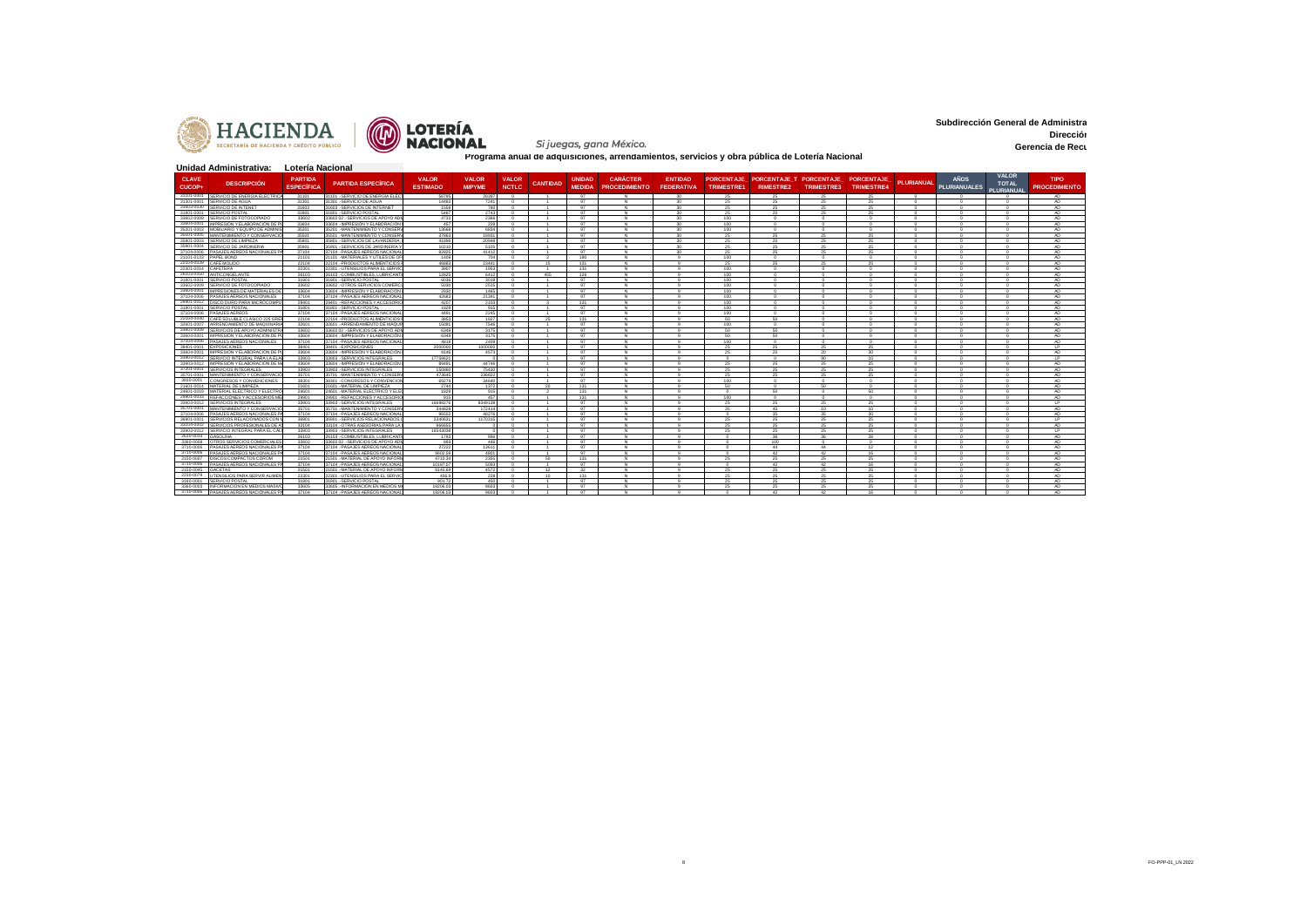

**Subdirección General de Administra Dirección Administrativa Gerencia de Recu** 

## Si juegas, gana México.

|                          | Unidad Administrativa:                                     | Lotería Nacional                    |                                                                     |                                 |                               |                              |                                |                         |                                         |                                     |                   |                                                        |                   |                                        |                    |                                    |                                            |                                     |
|--------------------------|------------------------------------------------------------|-------------------------------------|---------------------------------------------------------------------|---------------------------------|-------------------------------|------------------------------|--------------------------------|-------------------------|-----------------------------------------|-------------------------------------|-------------------|--------------------------------------------------------|-------------------|----------------------------------------|--------------------|------------------------------------|--------------------------------------------|-------------------------------------|
| <b>CLAVE</b><br>CUCOP+   | <b>DESCRIPCION</b>                                         | <b>PARTIDA</b><br><b>ESPECÍFICA</b> | <b>PARTIDA ESPECIFICA</b>                                           | <b>VALOR</b><br><b>ESTIMADO</b> | <b>VALOR</b><br><b>MIPYME</b> | <b>VALOR</b><br><b>NCTLC</b> | <b>CANTIDAD</b>                | UNIDAD<br><b>MEDIDA</b> | <b>CARÁCTER</b><br><b>PROCEDIMIENTO</b> | <b>ENTIDAD</b><br><b>FEDERATIVA</b> | <b>TRIMESTRE1</b> | PORCENTAJE PORCENTAJE T PORCENTAJE<br><b>RIMESTRE2</b> | <b>TRIMESTRE3</b> | <b>PORCENTAJE</b><br><b>TRIMESTRE4</b> | <b>PLURIANUAL</b>  | <b>AÑOS</b><br><b>PLURIANUALES</b> | <b>VALOR</b><br><b>TOTAL</b><br>PLURIANUAL | <b>TIPO</b><br><b>PROCEDIMIENTO</b> |
| 31101-0001               | SERVICIO DE ENERGIA ELECTRICA                              | 31101                               | 31101. - SERVICIO DE ENERGÍA ELÉC                                   | 56795                           | 2839                          |                              | $\overline{1}$                 | 97                      | N.                                      | 20 <sub>1</sub>                     | 25                | 25                                                     | 25                | 25                                     | $\sqrt{2}$         | $\sqrt{2}$                         |                                            | AD.                                 |
| 31301-0001               | SERVICIO DE AGUA                                           | 31301                               | 31301 .- SERVICIO DE AGUA                                           | 14483                           | 7241                          | $\sim$                       |                                | 97                      | N                                       | 30 <sup>°</sup>                     | 25                | 25                                                     | 25                | 25                                     |                    | $\sim$                             |                                            | AD.                                 |
| 31603-0030<br>31801-0001 | SERVICIO DE INTENET<br>SERVICIO POSTA                      | 31603<br>31801                      | 31603 .- SERVICIOS DE INTERNET<br>31801.-SERVICIO POSTA             | 1559<br>5487                    | 780<br>2743                   | $\sim$<br>$\sim$             | $\rightarrow$                  | 97<br>97                | N.<br>N.                                | 30<br>30                            | 25<br>25          | 25<br>25                                               | 25<br>25          | 25<br>25                               | $\sqrt{2}$         | $\Omega$<br>$\Omega$               | $\Omega$                                   | AD.<br>AD.                          |
| 33602-0009               | SERVICIO DE FOTOCOPIADO                                    | 33602                               | 33602 02 - SERVICIOS DE APOYO ADI                                   | 4733                            | 2366                          | $\Omega$                     | $\ddot{\phantom{1}}$           | 97                      | N.                                      | 30                                  | 100               | $\Omega$                                               | $\Omega$          | $\Omega$                               | $\Omega$           | $\Omega$                           | $\Omega$                                   | AD.                                 |
| 33604-0001               | IMPRESIÓN Y ELABORACIÓN DE                                 | 33604                               | 33604 .- IMPRESIÓN Y ELABORACIÓN                                    | 457                             | 228                           | $\sim$                       |                                | Q                       | N                                       | $\overline{30}$                     | 100               | $\sim$                                                 | $\sim$            | $\sim$                                 |                    | $\sim$                             | $\sim$                                     | AD                                  |
| 35201-0003               | MOBILIARIO Y EQUIPO DE ADMINI                              | 35201                               | 35201.-MANTENIMIENTO Y CONSER                                       | 13668                           | 6834                          | $\sim$                       | $\overline{1}$                 | 97                      | N.                                      | 30                                  | 100               | $\Omega$                                               | $\circ$           | $\Omega$                               | $\sim$             | $\sqrt{2}$                         | $\Omega$                                   | AD.                                 |
| 35501-0005               | MANTENIMIENTO Y CONSERVACI                                 | 35501                               | 35501 .- MANTENIMIENTO Y CONSER                                     | 37863                           | 18931                         | $\sim$                       |                                | 97                      | N.                                      | 20 <sub>1</sub>                     | 25                | 25                                                     | 25                | 25                                     |                    | $\sim$                             |                                            | AD.                                 |
| 35801-0003               | SERVICIO DE LIMPIEZA                                       | 35801                               | 35801.-SERVICIOS DE LAVANDERIA                                      | 41896                           | 20948                         | $\Omega$                     |                                | 97                      | N                                       | 30                                  | 25                | 25                                                     | 25                | 25                                     | $\Omega$           | $\Omega$                           | $\Omega$                                   | AD.                                 |
| 35901-0004               | ERVICIO DE JARDINERIA                                      | 35901                               | 35901.-SERVICIOS DE JARDINERÍA                                      | 10210                           | 5105                          |                              |                                | Q7                      |                                         | 30                                  | 25                | 25                                                     | 25                | 25                                     |                    |                                    |                                            | AD.                                 |
| 37104-0006               | PASAJES AEREOS NACIONALES PA                               | 37104                               | 37104 - PASAJES AEREOS NACIONA                                      | 82825                           | 41412                         | $\sim$                       | $\sim$                         | 97                      | N.                                      | 30                                  | 25                | 25                                                     | 25                | 25                                     | $\sim$             | $\sqrt{2}$                         | $\Omega$                                   | AD.                                 |
| 21101-0133               | PAPEL BOND                                                 | 21101                               | 21101. - MATERIALES Y UTILES DE O                                   | 1409                            | 704                           | $\sim$                       | $\overline{2}$                 | 180                     | N.                                      | $\alpha$                            | 100               | $\sqrt{2}$                                             | $\sim$            | $\sim$                                 | $\sim$             | $\sim$                             | $\sim$                                     | AD.                                 |
| 22104-0039               | CAFÉ MOLIDO                                                | 22104<br>22301                      | 22104 .- PRODUCTOS ALIMENTICIOS                                     | 46883<br>3907                   | 23441<br>1953                 | $\Omega$<br>$\sim$           | 15<br>$\sim$                   | 131<br>131              | N.<br>N                                 | $\mathbf{q}$<br>$\alpha$            | 25<br>100         | 25<br>$\sim$                                           | 25<br>$\sim$      | 25<br>$\sim$                           | $\Omega$<br>$\sim$ | $\Omega$<br>$\sim$                 | $\Omega$<br>$\sim$                         | AD.<br>AD                           |
| 22301-0014<br>26103-0050 | CAFETERA                                                   |                                     | 22301. - UTENSILIOS PARA EL SERVI<br>26103. COMBUSTIBLES, LUBRICANT |                                 | 6412                          | $\sim$                       | 455                            |                         | N.                                      | $\circ$                             |                   | $\Omega$                                               | $\Omega$          | $\Omega$                               | n                  | $\Omega$                           | $\sim$                                     |                                     |
| 31801-0001               | ANTICONGELANTI<br>SERVICIO POSTA                           | 26103<br>31801                      | 31801.-SERVICIO POSTA                                               | 12825<br>6036                   | 3018                          | $\sim$                       |                                | 126<br>97               | N.                                      | $\sim$                              | 100<br>100        | $\sim$                                                 | $\sim$            | $\sim$                                 |                    | $\sim$                             | $\sim$                                     | AD.<br>AD                           |
| 33602-0009               | SERVICIO DE FOTOCOPIADO                                    | 33602                               | 33602 .- OTROS SERVICIOS COMERC                                     | 5030                            | 2515                          | $\sim$                       | $\overline{1}$                 | 97                      | N                                       | $\alpha$                            | 100               | $\Omega$                                               | $\Omega$          | $\Omega$                               | $\sim$             | $\Omega$                           | $\sim$                                     | AD.                                 |
| 33604-0001               | IMPRESIONES DE MATERIALES D                                | 33604                               | 33604 .- IMPRESIÓN Y ELABORACIÓN                                    | 2930                            | 1465                          | $\sim$                       |                                | Q7                      | N                                       |                                     | 100               | $\sim$                                                 | $\sim$            | $\Omega$                               |                    | $\sim$                             |                                            | AD.                                 |
| 37104-0006               | PASAJES AÉREOS NACIONALES                                  | 37104                               | 37104 - PASAJES AEREOS NACIONA                                      | 42683                           | 21341                         | $\sqrt{2}$                   |                                | 97                      | <b>N</b>                                | $\circ$                             | 100               | $\Omega$                                               | $\Omega$          | $\Omega$                               |                    | $\Omega$                           | $\sim$                                     | AD.                                 |
| 29401-0012               | DISCO DURO PARA MICROCOMPU                                 | 29401                               | 29401 .- REFACCIONES Y ACCESORIO                                    | 4207                            | 2103                          | $\sim$                       | - 2                            | 131                     | N                                       | $\alpha$                            | 100               | $\Omega$                                               | $\Omega$          | $\Omega$                               |                    | $\Omega$                           | $\sim$                                     | AD.                                 |
| 31801-0001               | SERVICIO POSTAL                                            | 31801                               | 31801.-SERVICIO POSTAL                                              | 1829                            | 915                           | $\Omega$                     | $\overline{1}$                 | 97                      | N.                                      | $\mathbf{q}$                        | 100               | $\sqrt{2}$                                             | $\sqrt{2}$        | $\Omega$                               | $\sim$             | $\Omega$                           | $\Omega$                                   | AD                                  |
| 37104-0006               | PASAJES AEREOS                                             | 37104                               | 37104 .- PASAJES AEREOS NACIONA                                     | 4491                            | 2245                          | $\sim$                       |                                | Q7                      | AL.                                     | $\alpha$                            | 100               | $\sim$                                                 | $\sim$            | $\sim$                                 |                    | $\sim$                             | $\sim$                                     | AD.                                 |
| 22104-0040               | CAFÉ SOLURI E CLÁSICO 225 GRE                              | 22104                               | 22104 - PRODUCTOS ALIMENTICIOS                                      | 3853                            | 1927                          | $\sim$                       | 25                             | 131                     | N                                       | $\alpha$                            | 50                | 50                                                     | $\Omega$          | $\Omega$                               | $\sim$             | $\Omega$                           | $\sim$                                     | AD                                  |
| 32601-0007               | ARRENDAMIENTO DE MAQUINARI                                 | 32601                               | 32601 .- ARRENDAMIENTO DE MAQU                                      | 15091                           | 7546                          | $\Omega$                     | $\sim$                         | Q                       | N                                       | $\alpha$                            | 100               | $\Omega$                                               | $\Omega$          | $\Omega$                               | $\sim$             | $\Omega$                           | $\sim$                                     | AD.                                 |
| 33602-0009               | SERVICIOS DE APOYO ADMINISTR                               | 33602                               | 33602 02 - SERVICIOS DE APOYO AD                                    | 6349                            | 3175                          | $\sim$                       |                                | Q7                      | N.                                      | $\alpha$                            | 50                | 50                                                     | $\sqrt{2}$        | $\Omega$                               |                    | $\sim$                             | $\sim$                                     | AD.                                 |
| 33604-0001               | IMPRESIÓN Y ELABORACIÓN DE I                               | 33604                               | 33604 .- IMPRESIÓN Y ELABORACIÓN                                    | 6349                            | 3175                          | $\Omega$                     | $\overline{1}$                 | 97                      | N                                       | $\mathbf{q}$                        | 50                | 50                                                     | $\sqrt{2}$        | $\Omega$                               | $\Omega$           | $\Omega$                           | $\Omega$                                   | AD.                                 |
| 37104-0006               | PASAJES AÉREOS NACIONALES                                  | 37104                               | 37104 .- PASAJES AEREOS NACIONAL                                    | 4818                            | 2409                          | $\Omega$                     | $\overline{1}$                 | 97                      | N.                                      | $\mathbf{q}$                        | 100               | $\Omega$                                               | $\circ$           | $^{\circ}$                             | $\Omega$           | $\sqrt{2}$<br>$\sim$               | $\Omega$                                   | AD                                  |
| 38401-0001<br>33604-0001 | <b>EXPOSICIONES</b><br>IMPRESIÓN Y ELABORACIÓN DE P        | 38401<br>33604                      | 38401 .- EXPOSICIONES<br>33604 .- IMPRESIÓN Y ELABORACIÓN           | 2000000<br>9146                 | 100000<br>4573                | $\sim$<br>$\sim$             | $\sim$                         | 97<br>Q                 | N<br>N                                  | $\alpha$<br>9                       | 25<br>25          | 25<br>25                                               | 25                | 25<br>30                               | $\sim$             | $\Omega$                           | $\sim$<br>$\Omega$                         | LP.<br>AD.                          |
| 33903-0012               | SERVICIO INTEGRAL PARA LA FL.                              | 33903                               | 33903. - SERVICIOS INTEGRALES                                       | 1775862                         |                               | $\sim$                       | $\rightarrow$                  | 97                      | N                                       | $\alpha$                            | $\sim$            | $\Omega$                                               | 20<br>90          | 10                                     | $\sim$             | $\sim$                             | $\sim$                                     | 1P                                  |
| 33903-0012               | IMPRESIÓN Y ELABORACIÓN DE M                               | 33604                               | 33604 .- IMPRESIÓN Y ELABORACIÓN                                    | 89491                           | 44746                         | $\Omega$                     | $\overline{1}$                 | 97                      | N                                       | $\mathbf{q}$                        | 25                | 25                                                     | 25                | 25                                     | $\Omega$           | $\Omega$                           | $\Omega$                                   | AD                                  |
| 37201-0001               | SERVICIOS INTEGRALES                                       | 33903                               | 33903. - SERVICIOS INTEGRALES                                       | 150860                          | 75430                         | $\sim$                       | $\sim$                         | Q                       | Z                                       | $\mathbf{Q}$                        | 25                | 25                                                     | 25                | 25                                     | $\sim$             | $\Omega$                           | $\sim$                                     | AD.                                 |
| 35701-0001               | MANTENIMIENTO Y CONSERVACIÓ                                | 35701                               | 35701 .- MANTENIMIENTO Y CONSER                                     | 473645                          | 236822                        | $\sim$                       | $\overline{1}$                 | 97                      | N.                                      | $\sim$                              | 25                | 25                                                     | 25                | 25                                     | $\sim$             | $\Omega$                           | $\sim$                                     | AD.                                 |
| 3830-0001                | CONGRESOS Y CONVENCIONES                                   | 38301                               | 38301. CONGRESOS Y CONVENCIO                                        | 69279                           | 34640                         | $\sim$                       | $\overline{1}$                 | 97                      | AL.                                     | $\sim$                              | 100               | $\sim$                                                 | $\sim$            | $\Omega$                               |                    | $\sim$                             | $\sim$                                     | AD                                  |
| 21601-0014               | MATERIAL DE LIMPIEZA                                       | 21601                               | 21601 .- MATERIAL DE LIMPIEZA                                       | 2744                            | 1372                          | $\sim$                       | $20^{\circ}$                   | 131                     | N                                       | $\alpha$                            | 50                | $\sim$                                                 | 50                | $\Omega$                               |                    | $\sim$                             | $\sim$                                     | AD.                                 |
| 24601-0019               | MATERIAL ELÉCTRICO Y ELECTRO                               | 24601                               | 24601 .- MATERIAL ELÉCTRICO Y EL                                    | 1829                            | 915                           | $^{\circ}$                   | $\overline{2}$                 | 131                     | N                                       | $\mathbf{q}$                        | $\Omega$          | 50                                                     | $\circ$           | 50                                     | $\Omega$           | $\Omega$                           | $\Omega$                                   | AD.                                 |
| 29901-0033               | REFACCIONES Y ACCESORIOS ME                                | 29901                               | 29901. - REFACCIONES Y ACCESORIO                                    | 915                             | 457                           | $\sim$                       |                                | 131                     |                                         |                                     | 100               | $\sim$                                                 | $\Omega$          | $\sim$                                 |                    | $\sim$                             |                                            | AD                                  |
| 33903-0012               | SERVICIOS INTEGRALES                                       | 33903                               | 33903 .- SERVICIOS INTEGRALES                                       | 16698276                        | 8349138                       | $\sim$                       | $\rightarrow$                  | 97                      | AL.                                     | $\sim$                              | 25                | 25                                                     | 25                | 25                                     | $\sim$             | $\sim$                             | $\sim$                                     | 1P                                  |
| 35701-0001               | MANTENIMIENTO Y CONSERVACIÓ                                | 35701                               | 35701 .- MANTENIMIENTO Y CONSER                                     | 344828                          | 172414                        | $\Omega$                     | $\overline{1}$                 | 97                      | N.                                      | $\mathbf{q}$                        | 35                | 45                                                     | 10                | 10                                     | $\Omega$           | $\Omega$                           | $\Omega$                                   | AD                                  |
| 37104-0006<br>36901-0001 | PASAJES AÉREOS NACIONALES P                                | 37104                               | 37104 - PASAJES AEREOS NACIONA                                      | 96552                           | 48276                         | $\sim$                       | $\overline{1}$                 | 97                      | N.                                      | $\mathbf{q}$                        | $\sim$            | 35                                                     | 35                | 30                                     | $\sim$             | $\sim$                             | $\sim$                                     | AD.                                 |
| 33104-0002               | SERVICIOS RELACIONADOS CON<br>SERVICIOS PROFESIONALES DE A | 36901<br>33104                      | 36901 .- SERVICIOS RELACIONADOS<br>33104. - OTRAS ASESORIAS PARA LI | 2340631<br>OFFFRE               | 117031                        | $\sim$<br>$\Omega$           | $\rightarrow$<br>$\rightarrow$ | 97<br>97                | N.<br>N.                                | $\alpha$<br>$\mathbf{q}$            | 25<br>25          | 25<br>25                                               | 25<br>25          | 25<br>25                               | $\sim$<br>$\Omega$ | $\sim$<br>$\Omega$                 | $\sim$<br>$\Omega$                         | IP.<br>AD                           |
| 33903-0012               | SERVICIO INTEGRAL PARA EL CÁL                              | 33903                               | 33903. - SERVICIOS INTEGRALES                                       | 1654303                         |                               |                              |                                | Q7                      | M.                                      |                                     | 25                | 25                                                     | 25                | 25                                     |                    | $\sim$                             |                                            | LP.                                 |
| 2610-0013                | GASOLINA                                                   | 26103                               | 26103. COMBUSTIBLES, LUBRICAN                                       | 1793                            | 896                           | $\sim$                       | $\rightarrow$                  | 97                      | <b>N</b>                                | $\mathbf{q}$                        | $\sim$            | 36                                                     | 36                | 28                                     | $\sim$             | $\Omega$                           | $\Omega$                                   | AD.                                 |
| 3360-0008                | OTROS SERVICIOS COMERCIALE                                 | 33602                               | 33602 02 - SERVICIOS DE APOYO ADI                                   | 893                             | 446                           | $\Omega$                     | $\rightarrow$                  | 97                      | N.                                      | $\alpha$                            | $\sim$            | 100                                                    | $\Omega$          | $\Omega$                               | $\sim$             | $\sim$                             | $\sim$                                     | AD.                                 |
| 3710-0006                | ASAJES AÉREOS NACIONALES P                                 | 37104                               | 37104 .- PASAJES AEREOS NACIONA                                     | 27222                           | 13611                         |                              |                                | Q7                      | M.                                      | $\alpha$                            |                   | 44                                                     | 44                | 12                                     |                    | $\sim$                             | $\sim$                                     | AD.                                 |
| 3710-0006                | PASAJES AÉREOS NACIONALES P                                | 37104                               | 37104 - PASAJES AEREOS NACIONA                                      | 9602.59                         | 4801                          |                              |                                | 97                      | N                                       |                                     |                   | 42                                                     | 42                | 16                                     |                    | $\Omega$                           |                                            | AD                                  |
| 2150-0007                | DISCOS COMPACTOS CDROM                                     | 21501                               | 21501 .- MATERIAL DE APOYO INFOR                                    | 4710.34                         | 2355                          | $\Omega$                     | 50.                            | 131                     | N.                                      | $\alpha$                            | 25                | 25                                                     | 25                | 25                                     | $\Omega$           | $\sim$                             | $\sim$                                     | AD                                  |
| 3710-0006                | PASAJES AÉREOS NACIONALES F                                | 37104                               | 37104 .- PASAJES AEREOS NACIONAL                                    | 10187.07                        | 5093                          | $\sim$                       |                                | 97                      | N                                       |                                     |                   | 42                                                     | 42                | 16                                     |                    | $\sim$                             |                                            | AD                                  |
| 2150-0045                | GACETAS                                                    | 21501                               | 21501 .- MATERIAL DE APOYO INFOR                                    | 9145.69                         | 4572                          | $\sim$                       | 12 <sup>12</sup>               | 32                      | N.                                      | $\mathbf{q}$                        | 25                | 25                                                     | 25                | 25                                     | $\sim$             | $\Omega$                           | $\sim$                                     | AD.                                 |
| 2230-0079                | JTENSILIOS PARA SERVIR ALIMEN                              | 22301                               | 22301 .- UTENSILIOS PARA EL SERVIO                                  | 456.9                           | 228                           | $\sim$                       | 10 <sup>1</sup>                | 131                     | N.                                      | $\alpha$                            | 25                | 25                                                     | 25                | 25                                     | $\sim$             | $\sim$                             | $\sim$                                     | AD.                                 |
| 3180-0001                | SERVICIO POSTAL                                            | 31801                               | 31801 - SERVICIO POSTAL                                             | 901.72                          | 450                           |                              |                                | 97                      | N                                       |                                     | 25                | 25                                                     | 25                | 25                                     |                    | $\Omega$                           | $\Omega$                                   | AD.                                 |
| 3360-0003                | NEORMACIÓN EN MEDIOS MASIN                                 | 33605                               | 33605 - INFORMACIÓN EN MEDIOS M                                     | 19206.03                        | 9603                          |                              |                                | Q7                      |                                         |                                     | 25                | 25                                                     | 25                | 25                                     |                    | $\sim$                             |                                            | AD.                                 |
|                          | 3710-0006 PASAJES AEREOS NACIONALES PA                     | 37104                               | 37104 .- PASAJES AEREOS NACIONAL                                    | 19206.03                        | 9603                          | $\Omega$                     | $\overline{1}$                 | 97                      | N.                                      | $\alpha$                            | $\Omega$          | $42-$                                                  | $42^{\circ}$      | 16                                     |                    | $\Omega$                           | $\Omega$                                   | AD.                                 |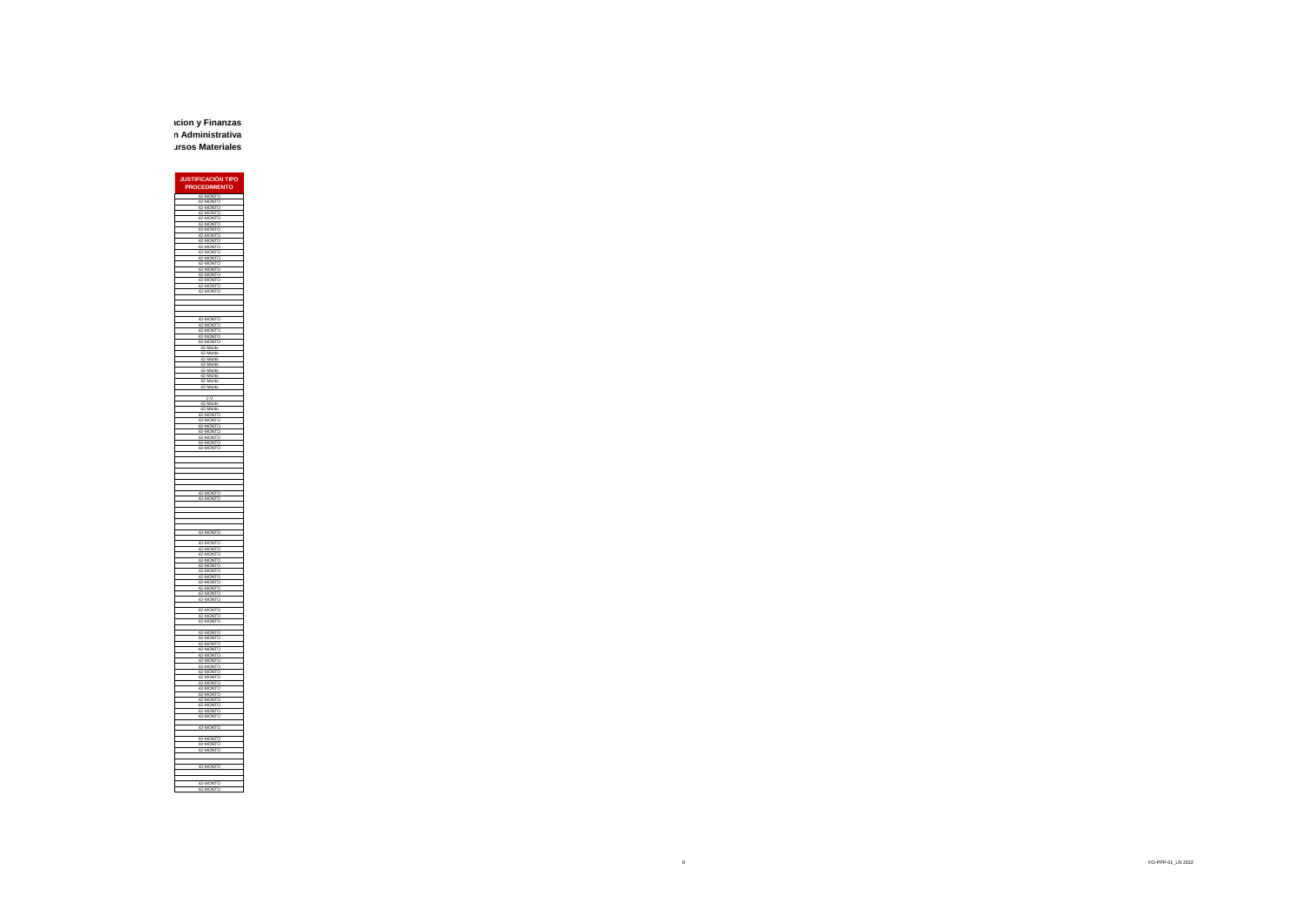**Subdirección General de Administracion y Finanzas Dirección Administrativa Gerencia de Recursos Materiales**

> **JUSTIFICACIÓN TIPO PROCEDIM** 42-MONTO 42-MONTO 42-MONTO 42-MONTO 42-MONTO 42-MONTO 42-MONTO 42-MONTO 42-MONTO 42-MONTO 42-MONTO 42-MONTO 42-MONTO 42-MONTO 42-MONTO 42-MONTO 42-MONTO 42-MONTO 42-MONTO 42-MONTO 42-MONTO 42-MONTO 42-MONTO 42-Monto 42-Monto 42-Monto 42-Monto 42-Monto 42-Monto 42-Monto 42-Monto 1-V 42-Monto 42-Monto 42-MONTO 42-MONTO 42-MONTO 42-MONTO 42-MONTO 42-MONTO 42-MONTO 42-MONTO 42-MONTO 42-MONTO 42-MONTO 42-MONTO 42-MONTO 42-MONTO 42-MONTO 42-MONTO 42-MONTO 42-MONTO 42-MONTO 42-MONTO 42-MONTO 42-MONTO 42-MONTO 42-MONTO 42-MONTO 42-MONTO 42-MONTO 42-MONTO 42-MONTO 42-MONTO 42-MONTO 42-MONTO 42-MONTO 42-MONTO 42-MONTO 42-MONTO 42-MONTO 42-MONTO 42-MONTO 42-MONTO 42-MONTO 42-MONTO 42-MONTO 42-MONTO 42-MONTO 42-MONTO 42-MONTO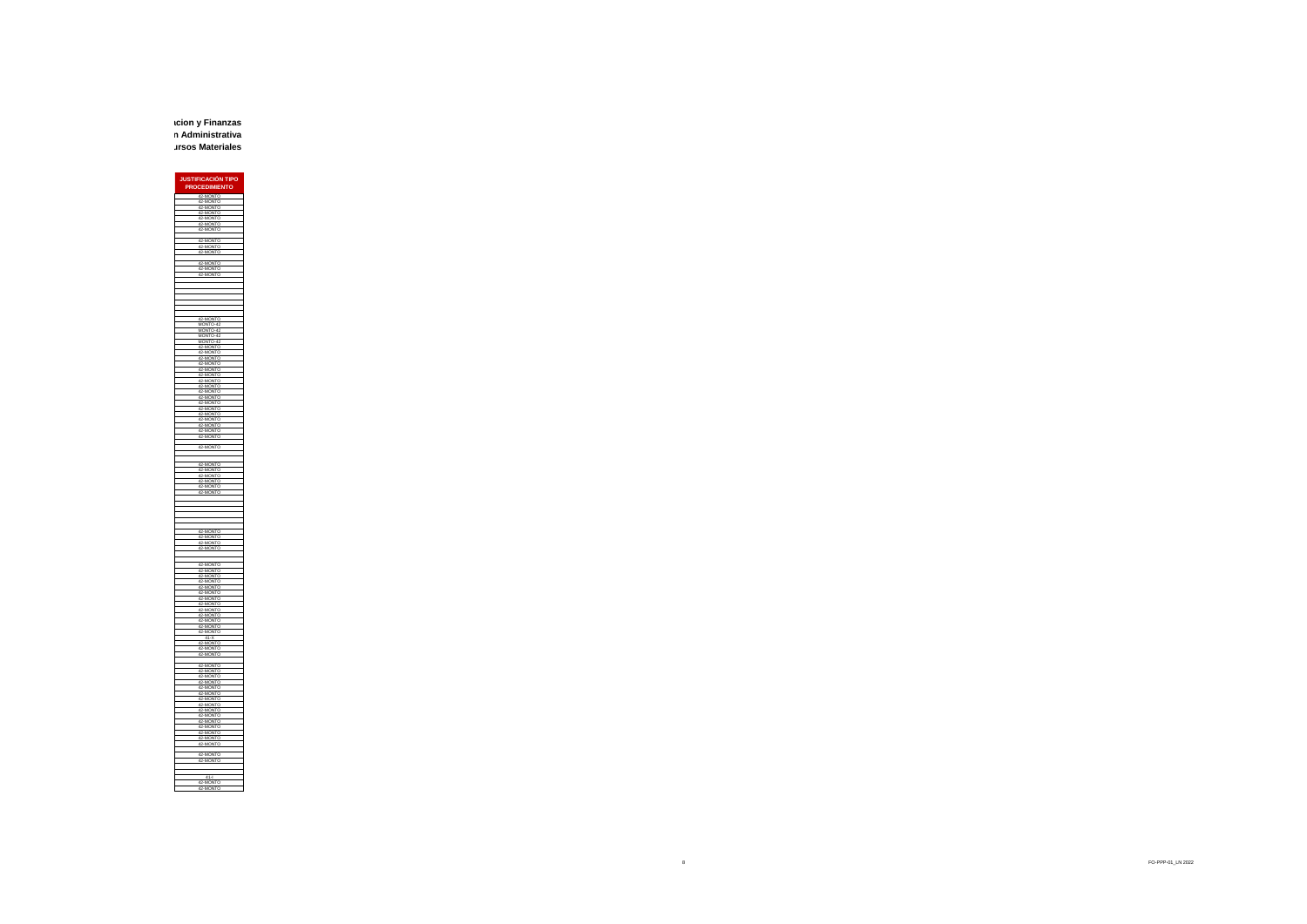**Subdirección General de Administracion y Finanzas Dirección Administrativa Gerencia de Recursos Materiales**

> **JUSTIFICACIÓN TIPO PROCEDIM** 42-MONTO 42-MONTO 42-MONTO 42-MONTO 42-MONTO 42-MONTO 42-MONTO 42-MONTO 42-MONTO 42-MONTO 42-MONTO 42-MONTO 42-MONTO 42-MONTO MONTO-42 MONTO-42 MONTO-42 MONTO-42 42-MONTO 42-MONTO 42-MONTO 42-MONTO 42-MONTO 42-MONTO 42-MONTO 42-MONTO 42-MONTO 42-MONTO 42-MONTO 42-MONTO 42-MONTO 42-MONTO 42-MONTO 42-MONTO 42-MONTO 42-MONTO 42-MONTO 42-MONTO 42-MONTO 42-MONTO 42-MONTO 42-MONTO 42-MONTO 42-MONTO 42-MONTO 42-MONTO 42-MONTO 42-MONTO 42-MONTO 42-MONTO 42-MONTO 42-MONTO 42-MONTO 42-MONTO 42-MONTO 42-MONTO 42-MONTO 42-MONTO 42-MONTO 41-X 42-MONTO 42-MONTO 42-MONTO 42-MONTO 42-MONTO 42-MONTO 42-MONTO 42-MONTO 42-MONTO 42-MONTO 42-MONTO 42-MONTO 42-MONTO 42-MONTO 42-MONTO 42-MONTO 42-MONTO 42-MONTO 42-MONTO 42-MONTO 41-I 42-MONTO 42-MONTO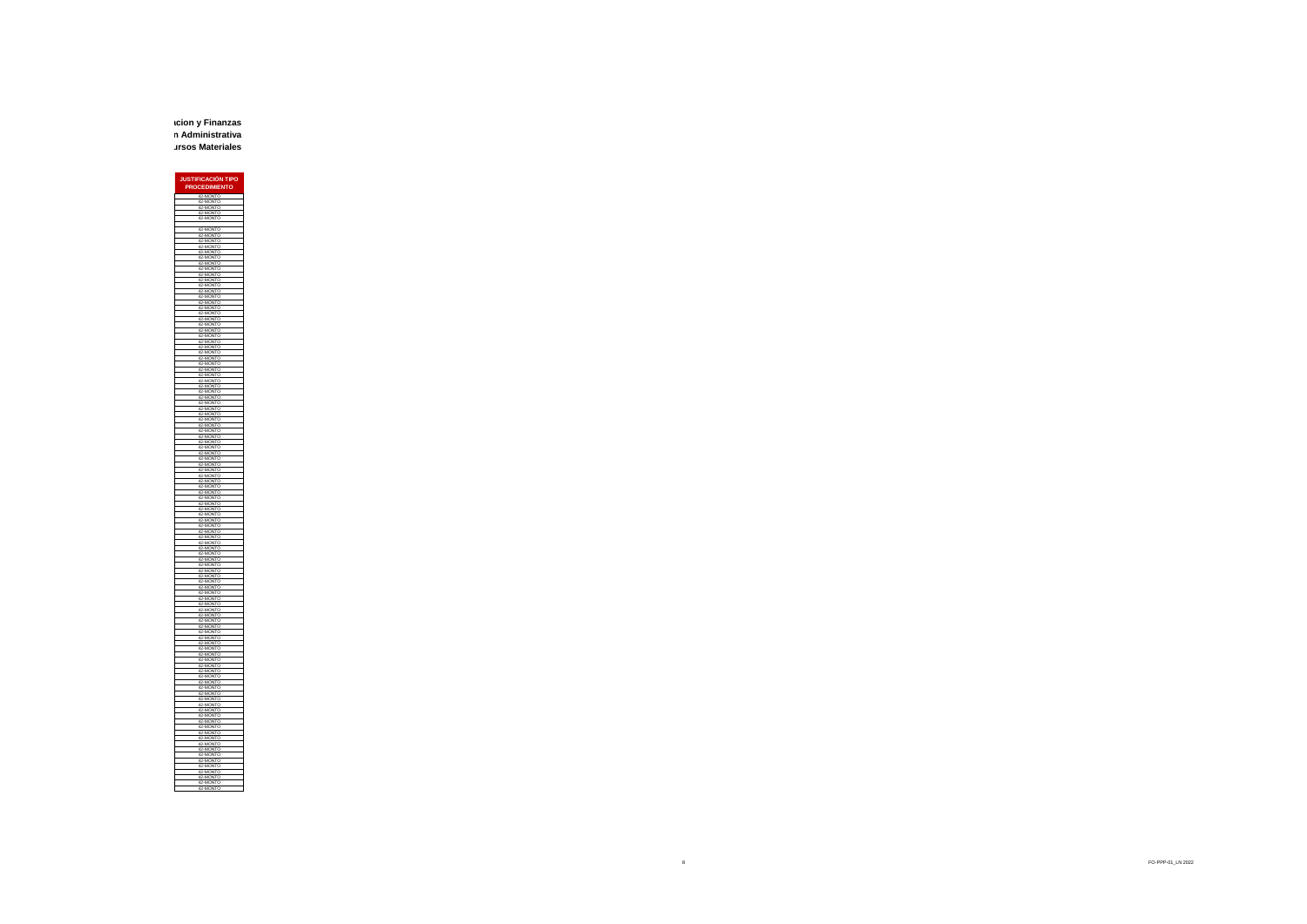**Subdirección General de Administracion y Finanzas Dirección Administrativa Gerencia de Recursos Materiales**

> **JUSTIFICACIÓN TIPO PROCEDIM** 42-MONTO 42-MONTO 42-MONTO 42-MONTO 42-MONTO 42-MONTO 42-MONTO 42-MONTO 42-MONTO 42-MONTO 42-MONTO 42-MONTO 42-MONTO 42-MONTO 42-MONTO 42-MONTO 42-MONTO 42-MONTO 42-MONTO 42-MONTO 42-MONTO 42-MONTO 42-MONTO 42-MONTO 42-MONTO 42-MONTO 42-MONTO 42-MONTO 42-MONTO 42-MONTO 42-MONTO 42-MONTO 42-MONTO 42-MONTO 42-MONTO 42-MONTO 42-MONTO 42-MONTO 42-MONTO 42-MONTO 42-MONTO 42-MONTO 42-MONTO 42-MONTO 42-MONTO 42-MONTO 42-MONTO 42-MONTO 42-MONTO 42-MONTO 42-MONTO 42-MONTO 42-MONTO 42-MONTO 42-MONTO 42-MONTO 42-MONTO 42-MONTO 42-MONTO 42-MONTO 42-MONTO 42-MONTO 42-MONTO 42-MONTO 42-MONTO 42-MONTO 42-MONTO 42-MONTO 42-MONTO 42-MONTO 42-MONTO 42-MONTO 42-MONTO 42-MONTO 42-MONTO 42-MONTO 42-MONTO 42-MONTO 42-MONTO 42-MONTO 42-MONTO 42-MONTO 42-MONTO 42-MONTO 42-MONTO 42-MONTO 42-MONTO 42-MONTO 42-MONTO 42-MONTO 42-MONTO 42-MONTO 42-MONTO 42-MONTO 42-MONTO 42-MONTO 42-MONTO 42-MONTO 42-MONTO 42-MONTO 42-MONTO 42-MONTO 42-MONTO 42-MONTO 42-MONTO 42-MONTO